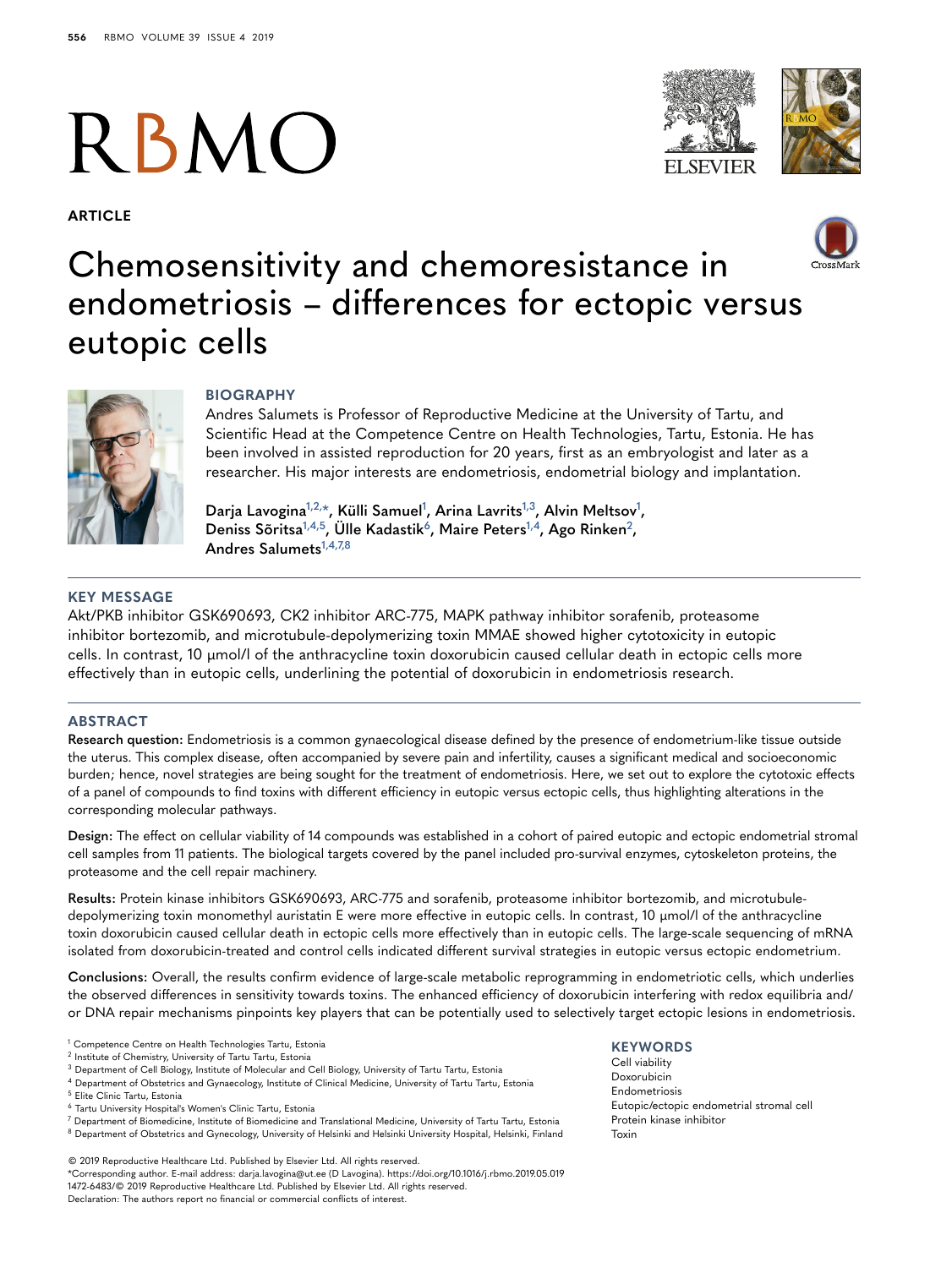# **RBMO**

**ARTICLE**







# Chemosensitivity and chemoresistance in endometriosis – differences for ectopic versus eutopic cells



# **BIOGRAPHY**

Andres Salumets is Professor of Reproductive Medicine at the University of Tartu, and Scientific Head at the Competence Centre on Health Technologies, Tartu, Estonia. He has been involved in assisted reproduction for 20 years, first as an embryologist and later as a researcher. His major interests are endometriosis, endometrial biology and implantation.

Darja Lavogina<sup>[1,](#page-0-0)[2,](#page-0-1)\*</sup>, Külli Samuel<sup>1</sup>, Arina Lavrits<sup>1,[3](#page-0-3)</sup>, Alvin Meltsov<sup>[1](#page-0-0)</sup>, **Deniss Sõritsa[1,](#page-0-0)[4,](#page-0-4)[5,](#page-0-5) Ülle Kadasti[k6](#page-0-6), Maire Peter[s1,](#page-0-0)[4,](#page-0-4) Ago Rinke[n2,](#page-0-1) Andres Salumet[s1,](#page-0-0)[4,](#page-0-4)[7,](#page-0-7)[8](#page-0-8)**

# **KEY MESSAGE**

Akt/PKB inhibitor GSK690693, CK2 inhibitor ARC-775, MAPK pathway inhibitor sorafenib, proteasome inhibitor bortezomib, and microtubule-depolymerizing toxin MMAE showed higher cytotoxicity in eutopic cells. In contrast, 10 µmol/l of the anthracycline toxin doxorubicin caused cellular death in ectopic cells more effectively than in eutopic cells, underlining the potential of doxorubicin in endometriosis research.

#### **ABSTRACT**

**Research question:** Endometriosis is a common gynaecological disease defined by the presence of endometrium-like tissue outside the uterus. This complex disease, often accompanied by severe pain and infertility, causes a significant medical and socioeconomic burden; hence, novel strategies are being sought for the treatment of endometriosis. Here, we set out to explore the cytotoxic effects of a panel of compounds to find toxins with different efficiency in eutopic versus ectopic cells, thus highlighting alterations in the corresponding molecular pathways.

**Design:** The effect on cellular viability of 14 compounds was established in a cohort of paired eutopic and ectopic endometrial stromal cell samples from 11 patients. The biological targets covered by the panel included pro-survival enzymes, cytoskeleton proteins, the proteasome and the cell repair machinery.

**Results:** Protein kinase inhibitors GSK690693, ARC-775 and sorafenib, proteasome inhibitor bortezomib, and microtubuledepolymerizing toxin monomethyl auristatin E were more effective in eutopic cells. In contrast, 10 µmol/l of the anthracycline toxin doxorubicin caused cellular death in ectopic cells more effectively than in eutopic cells. The large-scale sequencing of mRNA isolated from doxorubicin-treated and control cells indicated different survival strategies in eutopic versus ectopic endometrium.

**Conclusions:** Overall, the results confirm evidence of large-scale metabolic reprogramming in endometriotic cells, which underlies the observed differences in sensitivity towards toxins. The enhanced efficiency of doxorubicin interfering with redox equilibria and/ or DNA repair mechanisms pinpoints key players that can be potentially used to selectively target ectopic lesions in endometriosis.

- <span id="page-0-3"></span><sup>3</sup> Department of Cell Biology, Institute of Molecular and Cell Biology, University of Tartu Tartu, Estonia
- <span id="page-0-4"></span><sup>4</sup> Department of Obstetrics and Gynaecology, Institute of Clinical Medicine, University of Tartu Tartu, Estonia
- <span id="page-0-5"></span><sup>5</sup> Elite Clinic Tartu, Estonia
- <span id="page-0-6"></span><sup>6</sup> Tartu University Hospital's Women's Clinic Tartu, Estonia
- <span id="page-0-8"></span><span id="page-0-7"></span><sup>7</sup> Department of Biomedicine, Institute of Biomedicine and Translational Medicine, University of Tartu Tartu, Estonia 8 Department of Obstetrics and Gynecology, University of Helsinki and Helsinki University Hospital, Helsinki, Finland

<span id="page-0-2"></span>© 2019 Reproductive Healthcare Ltd. Published by Elsevier Ltd. All rights reserved. \*Corresponding author. E-mail address: darja.lavogina@ut.ee (D Lavogina). https://doi.org/10.1016/j.rbmo.2019.05.019 1472-6483/© 2019 Reproductive Healthcare Ltd. Published by Elsevier Ltd. All rights reserved. Declaration: The authors report no financial or commercial conflicts of interest.

#### **KEYWORDS**

Cell viability Doxorubicin Endometriosis Eutopic/ectopic endometrial stromal cell Protein kinase inhibitor Toxin

<span id="page-0-0"></span><sup>1</sup> Competence Centre on Health Technologies Tartu, Estonia

<span id="page-0-1"></span><sup>2</sup> Institute of Chemistry, University of Tartu Tartu, Estonia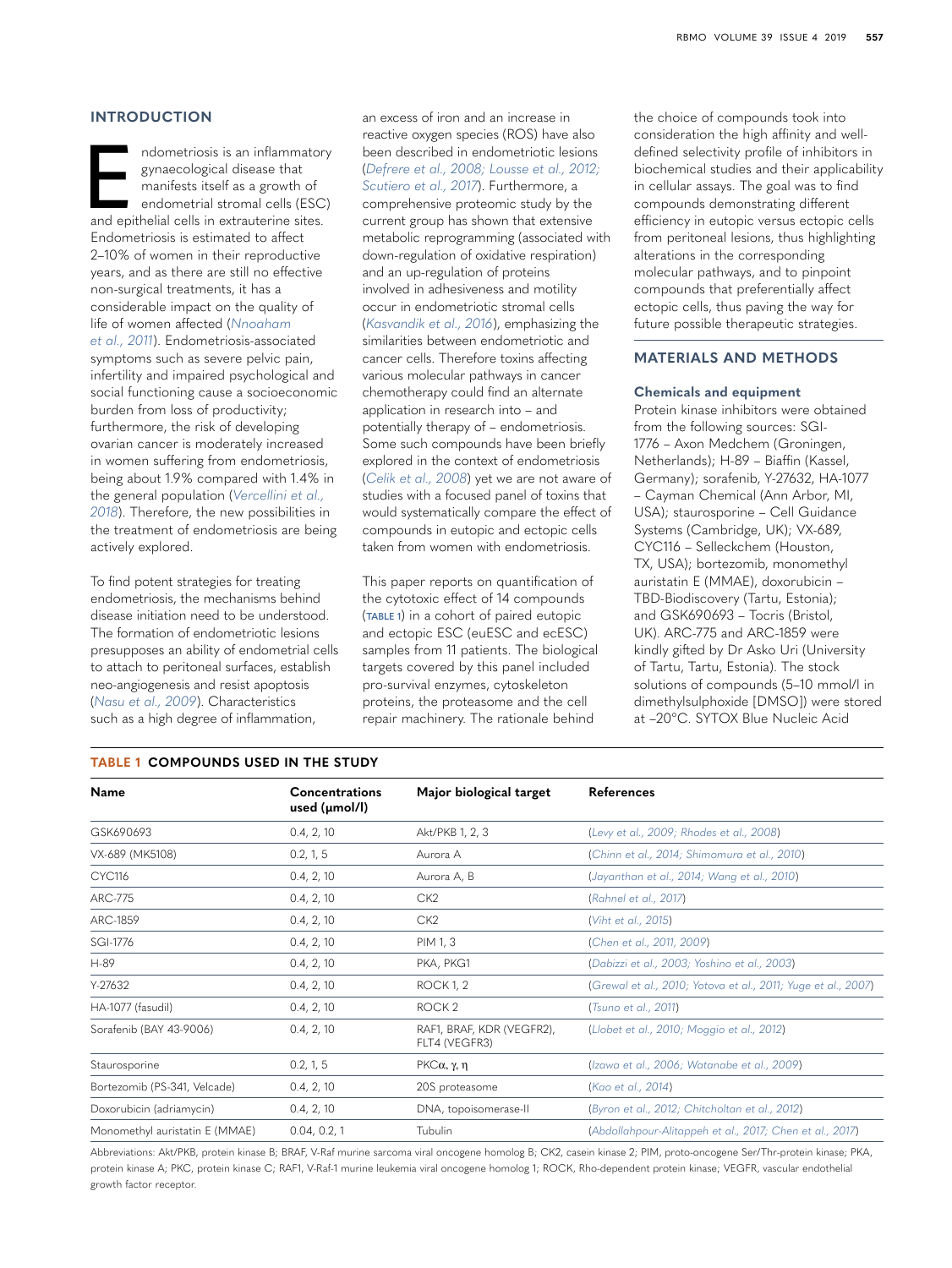# **INTRODUCTION**

ndometriosis is an inflammatory<br>
gynaecological disease that<br>
manifests itself as a growth of<br>
endometrial stromal cells (ESC)<br>
and epithelial cells in extrauterine sites. gynaecological disease that manifests itself as a growth of endometrial stromal cells (ESC) Endometriosis is estimated to affect 2–10% of women in their reproductive years, and as there are still no effective non-surgical treatments, it has a considerable impact on the quality of life of women affected (*[Nnoaham](#page-11-0)  [et al., 2011](#page-11-0)*). Endometriosis-associated symptoms such as severe pelvic pain, infertility and impaired psychological and social functioning cause a socioeconomic burden from loss of productivity; furthermore, the risk of developing ovarian cancer is moderately increased in women suffering from endometriosis, being about 1.9% compared with 1.4% in the general population (*[Vercellini et al.,](#page-12-0)  [2018](#page-12-0)*). Therefore, the new possibilities in the treatment of endometriosis are being actively explored.

To find potent strategies for treating endometriosis, the mechanisms behind disease initiation need to be understood. The formation of endometriotic lesions presupposes an ability of endometrial cells to attach to peritoneal surfaces, establish neo-angiogenesis and resist apoptosis (*[Nasu et al., 2009](#page-11-1)*). Characteristics such as a high degree of inflammation,

an excess of iron and an increase in reactive oxygen species (ROS) have also been described in endometriotic lesions (*[Defrere et al., 2008; Lousse et al., 2012;](#page-10-0)  [Scutiero et al., 2017](#page-10-0)*). Furthermore, a comprehensive proteomic study by the current group has shown that extensive metabolic reprogramming (associated with down-regulation of oxidative respiration) and an up-regulation of proteins involved in adhesiveness and motility occur in endometriotic stromal cells (*[Kasvandik et al., 2016](#page-11-2)*), emphasizing the similarities between endometriotic and cancer cells. Therefore toxins affecting various molecular pathways in cancer chemotherapy could find an alternate application in research into – and potentially therapy of – endometriosis. Some such compounds have been briefly explored in the context of endometriosis (*[Celik et al., 2008](#page-10-1)*) yet we are not aware of studies with a focused panel of toxins that would systematically compare the effect of compounds in eutopic and ectopic cells taken from women with endometriosis.

This paper reports on quantification of the cytotoxic effect of 14 compounds (**[TABLE 1](#page-1-0)**) in a cohort of paired eutopic and ectopic ESC (euESC and ecESC) samples from 11 patients. The biological targets covered by this panel included pro-survival enzymes, cytoskeleton proteins, the proteasome and the cell repair machinery. The rationale behind

the choice of compounds took into consideration the high affinity and welldefined selectivity profile of inhibitors in biochemical studies and their applicability in cellular assays. The goal was to find compounds demonstrating different efficiency in eutopic versus ectopic cells from peritoneal lesions, thus highlighting alterations in the corresponding molecular pathways, and to pinpoint compounds that preferentially affect ectopic cells, thus paving the way for future possible therapeutic strategies.

# **MATERIALS AND METHODS**

# **Chemicals and equipment**

Protein kinase inhibitors were obtained from the following sources: SGI-1776 – Axon Medchem (Groningen, Netherlands); H-89 – Biaffin (Kassel, Germany); sorafenib, Y-27632, HA-1077 – Cayman Chemical (Ann Arbor, MI, USA); staurosporine – Cell Guidance Systems (Cambridge, UK); VX-689, CYC116 – Selleckchem (Houston, TX, USA); bortezomib, monomethyl auristatin E (MMAE), doxorubicin – TBD-Biodiscovery (Tartu, Estonia); and GSK690693 – Tocris (Bristol, UK). ARC-775 and ARC-1859 were kindly gifted by Dr Asko Uri (University of Tartu, Tartu, Estonia). The stock solutions of compounds (5–10 mmol/l in dimethylsulphoxide [DMSO]) were stored at –20°C. SYTOX Blue Nucleic Acid

| Name                           | <b>Concentrations</b><br>used $(\mu$ mol/l $)$ | Major biological target                    | <b>References</b>                                             |
|--------------------------------|------------------------------------------------|--------------------------------------------|---------------------------------------------------------------|
| GSK690693                      | 0.4, 2, 10                                     | Akt/PKB 1, 2, 3                            | (Levy et al., 2009; Rhodes et al., 2008)                      |
| VX-689 (MK5108)                | 0.2, 1, 5                                      | Aurora A                                   | (Chinn et al., 2014; Shimomura et al., 2010)                  |
| <b>CYC116</b>                  | 0.4, 2, 10                                     | Aurora A, B                                | (Jayanthan et al., 2014; Wang et al., 2010)                   |
| <b>ARC-775</b>                 | 0.4, 2, 10                                     | CK <sub>2</sub>                            | (Rahnel et al., 2017)                                         |
| ARC-1859                       | 0.4, 2, 10                                     | CK <sub>2</sub>                            | (Viht et al., 2015)                                           |
| SGI-1776                       | 0.4, 2, 10                                     | PIM 1, 3                                   | (Chen et al., 2011, 2009)                                     |
| H-89                           | 0.4, 2, 10                                     | PKA, PKG1                                  | (Dabizzi et al., 2003; Yoshino et al., 2003)                  |
| Y-27632                        | 0.4, 2, 10                                     | <b>ROCK 1, 2</b>                           | (Grewal et al., 2010; Yotova et al., 2011; Yuge et al., 2007) |
| HA-1077 (fasudil)              | 0.4, 2, 10                                     | ROCK <sub>2</sub>                          | (Tsuno et al., 2011)                                          |
| Sorafenib (BAY 43-9006)        | 0.4, 2, 10                                     | RAF1, BRAF, KDR (VEGFR2),<br>FLT4 (VEGFR3) | (Llobet et al., 2010; Moggio et al., 2012)                    |
| Staurosporine                  | 0.2, 1, 5                                      | $P$ KCα, γ, η                              | (Izawa et al., 2006; Watanabe et al., 2009)                   |
| Bortezomib (PS-341, Velcade)   | 0.4, 2, 10                                     | 20S proteasome                             | (Kao et al., 2014)                                            |
| Doxorubicin (adriamycin)       | 0.4, 2, 10                                     | DNA, topoisomerase-II                      | (Byron et al., 2012; Chitcholtan et al., 2012)                |
| Monomethyl auristatin E (MMAE) | 0.04, 0.2, 1                                   | Tubulin                                    | (Abdollahpour-Alitappeh et al., 2017; Chen et al., 2017)      |

Abbreviations: Akt/PKB, protein kinase B; BRAF, V-Raf murine sarcoma viral oncogene homolog B; CK2, casein kinase 2; PIM, proto-oncogene Ser/Thr-protein kinase; PKA, protein kinase A; PKC, protein kinase C; RAF1, V-Raf-1 murine leukemia viral oncogene homolog 1; ROCK, Rho-dependent protein kinase; VEGFR, vascular endothelial growth factor receptor.

#### <span id="page-1-0"></span>**TABLE 1 COMPOUNDS USED IN THE STUDY**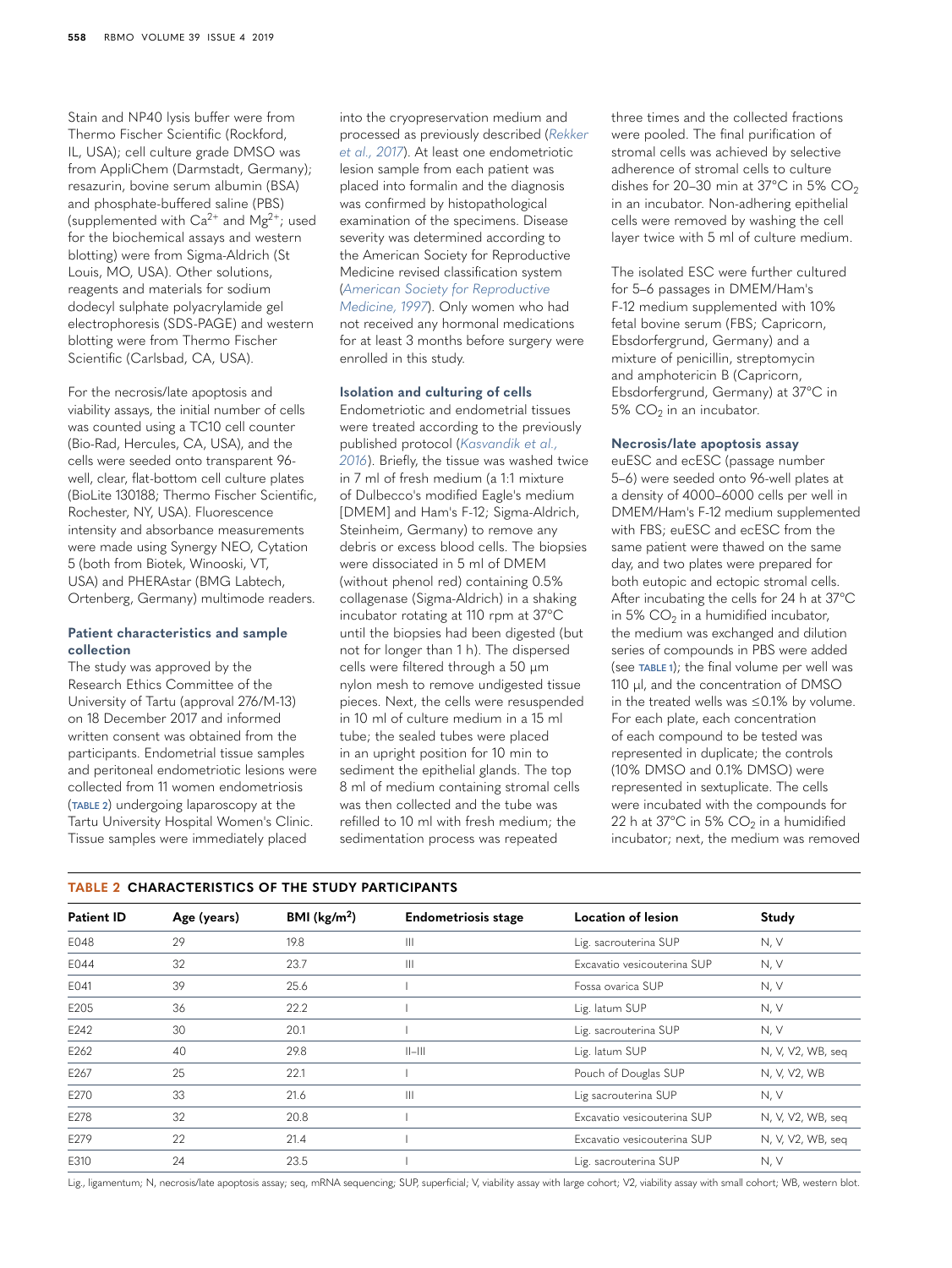Stain and NP40 lysis buffer were from Thermo Fischer Scientific (Rockford, IL, USA); cell culture grade DMSO was from AppliChem (Darmstadt, Germany); resazurin, bovine serum albumin (BSA) and phosphate-buffered saline (PBS) (supplemented with  $Ca^{2+}$  and  $Mg^{2+}$ ; used for the biochemical assays and western blotting) were from Sigma-Aldrich (St Louis, MO, USA). Other solutions, reagents and materials for sodium dodecyl sulphate polyacrylamide gel electrophoresis (SDS-PAGE) and western blotting were from Thermo Fischer Scientific (Carlsbad, CA, USA).

For the necrosis/late apoptosis and viability assays, the initial number of cells was counted using a TC10 cell counter (Bio-Rad, Hercules, CA, USA), and the cells were seeded onto transparent 96 well, clear, flat-bottom cell culture plates (BioLite 130188; Thermo Fischer Scientific, Rochester, NY, USA). Fluorescence intensity and absorbance measurements were made using Synergy NEO, Cytation 5 (both from Biotek, Winooski, VT, USA) and PHERAstar (BMG Labtech, Ortenberg, Germany) multimode readers.

# **Patient characteristics and sample collection**

The study was approved by the Research Ethics Committee of the University of Tartu (approval 276/M-13) on 18 December 2017 and informed written consent was obtained from the participants. Endometrial tissue samples and peritoneal endometriotic lesions were collected from 11 women endometriosis (**[TABLE 2](#page-2-0)**) undergoing laparoscopy at the Tartu University Hospital Women's Clinic. Tissue samples were immediately placed

into the cryopreservation medium and processed as previously described (*[Rekker](#page-11-7)  [et al., 2017](#page-11-7)*). At least one endometriotic lesion sample from each patient was placed into formalin and the diagnosis was confirmed by histopathological examination of the specimens. Disease severity was determined according to the American Society for Reproductive Medicine revised classification system (*[American Society for Reproductive](#page-10-10)  [Medicine, 1997](#page-10-10)*). Only women who had not received any hormonal medications for at least 3 months before surgery were enrolled in this study.

# **Isolation and culturing of cells**

Endometriotic and endometrial tissues were treated according to the previously published protocol (*[Kasvandik et al.,](#page-11-2)  [2016](#page-11-2)*). Briefly, the tissue was washed twice in 7 ml of fresh medium (a 1:1 mixture of Dulbecco's modified Eagle's medium [DMEM] and Ham's F-12; Sigma-Aldrich, Steinheim, Germany) to remove any debris or excess blood cells. The biopsies were dissociated in 5 ml of DMEM (without phenol red) containing 0.5% collagenase (Sigma-Aldrich) in a shaking incubator rotating at 110 rpm at 37°C until the biopsies had been digested (but not for longer than 1 h). The dispersed cells were filtered through a 50 µm nylon mesh to remove undigested tissue pieces. Next, the cells were resuspended in 10 ml of culture medium in a 15 ml tube; the sealed tubes were placed in an upright position for 10 min to sediment the epithelial glands. The top 8 ml of medium containing stromal cells was then collected and the tube was refilled to 10 ml with fresh medium; the sedimentation process was repeated

three times and the collected fractions were pooled. The final purification of stromal cells was achieved by selective adherence of stromal cells to culture dishes for 20–30 min at  $37^{\circ}$ C in 5% CO<sub>2</sub> in an incubator. Non-adhering epithelial cells were removed by washing the cell layer twice with 5 ml of culture medium.

The isolated ESC were further cultured for 5–6 passages in DMEM/Ham's F-12 medium supplemented with 10% fetal bovine serum (FBS; Capricorn, Ebsdorfergrund, Germany) and a mixture of penicillin, streptomycin and amphotericin B (Capricorn, Ebsdorfergrund, Germany) at 37°C in  $5\%$  CO<sub>2</sub> in an incubator.

#### **Necrosis/late apoptosis assay**

euESC and ecESC (passage number 5–6) were seeded onto 96-well plates at a density of 4000–6000 cells per well in DMEM/Ham's F-12 medium supplemented with FBS; euESC and ecESC from the same patient were thawed on the same day, and two plates were prepared for both eutopic and ectopic stromal cells. After incubating the cells for 24 h at 37°C in 5%  $CO<sub>2</sub>$  in a humidified incubator, the medium was exchanged and dilution series of compounds in PBS were added (see **[TABLE 1](#page-1-0)**); the final volume per well was 110 µl, and the concentration of DMSO in the treated wells was ≤0.1% by volume. For each plate, each concentration of each compound to be tested was represented in duplicate; the controls (10% DMSO and 0.1% DMSO) were represented in sextuplicate. The cells were incubated with the compounds for 22 h at  $37^{\circ}$ C in 5% CO<sub>2</sub> in a humidified incubator; next, the medium was removed

#### <span id="page-2-0"></span>**TABLE 2 CHARACTERISTICS OF THE STUDY PARTICIPANTS**

| <b>Patient ID</b> | Age (years) | BMI ( $\text{kg/m}^2$ ) | <b>Endometriosis stage</b>                                           | Location of lesion                               | Study             |
|-------------------|-------------|-------------------------|----------------------------------------------------------------------|--------------------------------------------------|-------------------|
| E048              | 29          | 19.8                    | $\begin{array}{c} \hline \end{array}$                                | Lig. sacrouterina SUP                            | N, V              |
| E044              | 32          | 23.7                    | $\begin{array}{c} \hline \end{array}$<br>Excavatio vesicouterina SUP |                                                  | N, V              |
| E041              | 39          | 25.6                    | Fossa ovarica SUP                                                    |                                                  | N, V              |
| E205              | 36          | 22.2                    |                                                                      | Lig. latum SUP                                   | N, V              |
| E242              | 30          | 20.1                    |                                                                      | Lig. sacrouterina SUP                            | N, V              |
| E262              | 40          | 29.8                    | $  -   $                                                             | Lig. latum SUP                                   |                   |
| E267              | 25          | 22.1                    | Pouch of Douglas SUP                                                 |                                                  | N, V, V2, WB      |
| E270              | 33          | 21.6                    | $\begin{array}{c} \hline \end{array}$                                | Lig sacrouterina SUP                             |                   |
| E278              | 32          | 20.8                    |                                                                      | Excavatio vesicouterina SUP<br>N, V, V2, WB, seq |                   |
| E279              | 22          | 21.4                    | Excavatio vesicouterina SUP                                          |                                                  | N, V, V2, WB, seq |
| E310              | 24          | 23.5                    |                                                                      | Lig. sacrouterina SUP                            | N, V              |

Lig., ligamentum; N, necrosis/late apoptosis assay; seq, mRNA sequencing; SUP, superficial; V, viability assay with large cohort; V2, viability assay with small cohort; WB, western blot.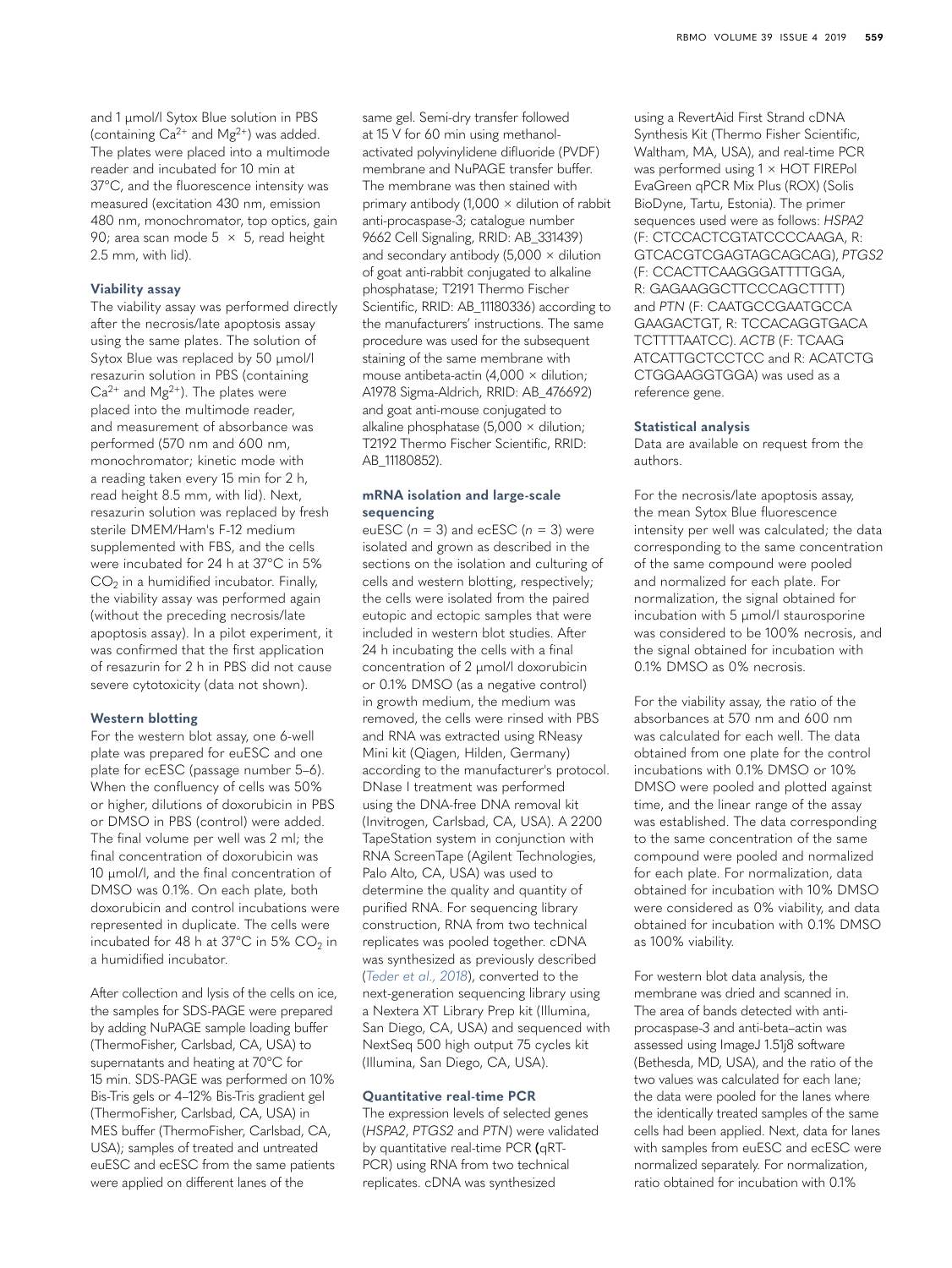and 1 µmol/l Sytox Blue solution in PBS (containing  $Ca^{2+}$  and  $Mg^{2+}$ ) was added. The plates were placed into a multimode reader and incubated for 10 min at 37°C, and the fluorescence intensity was measured (excitation 430 nm, emission 480 nm, monochromator, top optics, gain 90; area scan mode  $5 \times 5$ , read height 2.5 mm, with lid).

# **Viability assay**

The viability assay was performed directly after the necrosis/late apoptosis assay using the same plates. The solution of Sytox Blue was replaced by 50  $\mu$ mol/l resazurin solution in PBS (containing  $Ca^{2+}$  and Mg<sup>2+</sup>). The plates were placed into the multimode reader, and measurement of absorbance was performed (570 nm and 600 nm, monochromator; kinetic mode with a reading taken every 15 min for 2 h, read height 8.5 mm, with lid). Next, resazurin solution was replaced by fresh sterile DMEM/Ham's F-12 medium supplemented with FBS, and the cells were incubated for 24 h at 37°C in 5%  $CO<sub>2</sub>$  in a humidified incubator. Finally, the viability assay was performed again (without the preceding necrosis/late apoptosis assay). In a pilot experiment, it was confirmed that the first application of resazurin for 2 h in PBS did not cause severe cytotoxicity (data not shown).

# **Western blotting**

For the western blot assay, one 6-well plate was prepared for euESC and one plate for ecESC (passage number 5–6). When the confluency of cells was 50% or higher, dilutions of doxorubicin in PBS or DMSO in PBS (control) were added. The final volume per well was 2 ml; the final concentration of doxorubicin was 10 µmol/l, and the final concentration of DMSO was 0.1%. On each plate, both doxorubicin and control incubations were represented in duplicate. The cells were incubated for 48 h at  $37^{\circ}$ C in 5% CO<sub>2</sub> in a humidified incubator.

After collection and lysis of the cells on ice, the samples for SDS-PAGE were prepared by adding NuPAGE sample loading buffer (ThermoFisher, Carlsbad, CA, USA) to supernatants and heating at 70°C for 15 min. SDS-PAGE was performed on 10% Bis-Tris gels or 4–12% Bis-Tris gradient gel (ThermoFisher, Carlsbad, CA, USA) in MES buffer (ThermoFisher, Carlsbad, CA, USA); samples of treated and untreated euESC and ecESC from the same patients were applied on different lanes of the

same gel. Semi-dry transfer followed at 15 V for 60 min using methanolactivated polyvinylidene difluoride (PVDF) membrane and NuPAGE transfer buffer. The membrane was then stained with primary antibody (1,000 × dilution of rabbit anti-procaspase-3; catalogue number 9662 Cell Signaling, RRID: AB\_331439) and secondary antibody ( $5,000 \times$  dilution of goat anti-rabbit conjugated to alkaline phosphatase; T2191 Thermo Fischer Scientific, RRID: AB\_11180336) according to the manufacturers' instructions. The same procedure was used for the subsequent staining of the same membrane with mouse antibeta-actin (4,000  $\times$  dilution; A1978 Sigma-Aldrich, RRID: AB\_476692) and goat anti-mouse conjugated to alkaline phosphatase ( $5,000 \times$  dilution; T2192 Thermo Fischer Scientific, RRID: AB\_11180852).

# **mRNA isolation and large-scale sequencing**

euESC ( $n = 3$ ) and ecESC ( $n = 3$ ) were isolated and grown as described in the sections on the isolation and culturing of cells and western blotting, respectively; the cells were isolated from the paired eutopic and ectopic samples that were included in western blot studies. After 24 h incubating the cells with a final concentration of 2 µmol/l doxorubicin or 0.1% DMSO (as a negative control) in growth medium, the medium was removed, the cells were rinsed with PBS and RNA was extracted using RNeasy Mini kit (Qiagen, Hilden, Germany) according to the manufacturer's protocol. DNase I treatment was performed using the DNA-free DNA removal kit (Invitrogen, Carlsbad, CA, USA). A 2200 TapeStation system in conjunction with RNA ScreenTape (Agilent Technologies, Palo Alto, CA, USA) was used to determine the quality and quantity of purified RNA. For sequencing library construction, RNA from two technical replicates was pooled together. cDNA was synthesized as previously described (*[Teder et al., 2018](#page-11-8)*), converted to the next-generation sequencing library using a Nextera XT Library Prep kit (Illumina, San Diego, CA, USA) and sequenced with NextSeq 500 high output 75 cycles kit (Illumina, San Diego, CA, USA).

#### **Quantitative real-time PCR**

The expression levels of selected genes (*HSPA2*, *PTGS2* and *PTN*) were validated by quantitative real-time PCR **(**qRT-PCR) using RNA from two technical replicates. cDNA was synthesized

using a RevertAid First Strand cDNA Synthesis Kit (Thermo Fisher Scientific, Waltham, MA, USA), and real-time PCR was performed using 1 × HOT FIREPol EvaGreen qPCR Mix Plus (ROX) (Solis BioDyne, Tartu, Estonia). The primer sequences used were as follows: *HSPA2* (F: CTCCACTCGTATCCCCAAGA, R: GTCACGTCGAGTAGCAGCAG), *PTGS2* (F: CCACTTCAAGGGATTTTGGA, R: GAGAAGGCTTCCCAGCTTTT) and *PTN* (F: CAATGCCGAATGCCA GAAGACTGT, R: TCCACAGGTGACA TCTTTTAATCC). *ACTB* (F: TCAAG ATCATTGCTCCTCC and R: ACATCTG CTGGAAGGTGGA) was used as a reference gene.

# **Statistical analysis**

Data are available on request from the authors.

For the necrosis/late apoptosis assay, the mean Sytox Blue fluorescence intensity per well was calculated; the data corresponding to the same concentration of the same compound were pooled and normalized for each plate. For normalization, the signal obtained for incubation with 5 µmol/l staurosporine was considered to be 100% necrosis, and the signal obtained for incubation with 0.1% DMSO as 0% necrosis.

For the viability assay, the ratio of the absorbances at 570 nm and 600 nm was calculated for each well. The data obtained from one plate for the control incubations with 0.1% DMSO or 10% DMSO were pooled and plotted against time, and the linear range of the assay was established. The data corresponding to the same concentration of the same compound were pooled and normalized for each plate. For normalization, data obtained for incubation with 10% DMSO were considered as 0% viability, and data obtained for incubation with 0.1% DMSO as 100% viability.

For western blot data analysis, the membrane was dried and scanned in. The area of bands detected with antiprocaspase-3 and anti-beta–actin was assessed using ImageJ 1.51j8 software (Bethesda, MD, USA), and the ratio of the two values was calculated for each lane; the data were pooled for the lanes where the identically treated samples of the same cells had been applied. Next, data for lanes with samples from euESC and ecESC were normalized separately. For normalization, ratio obtained for incubation with 0.1%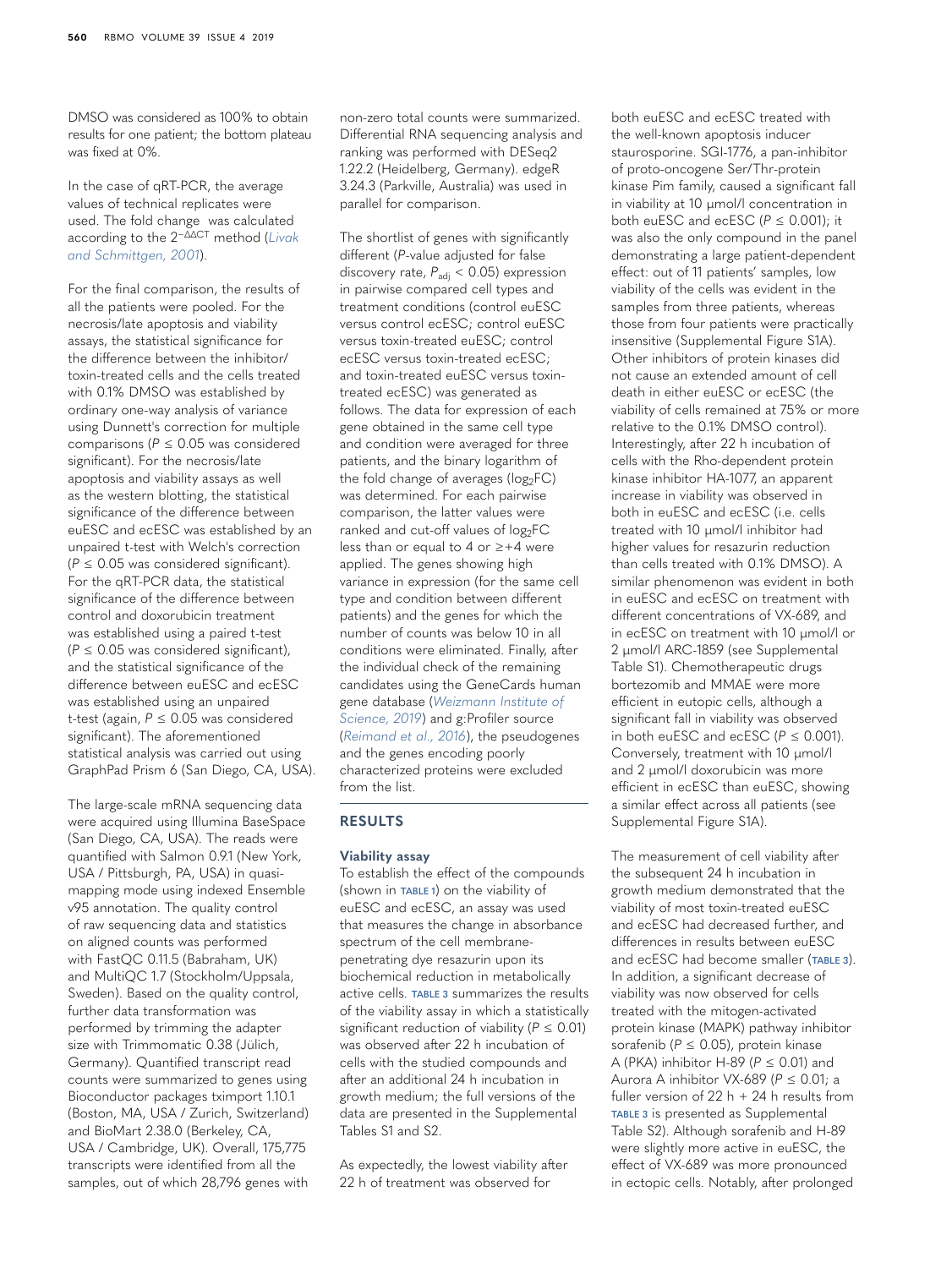DMSO was considered as 100% to obtain results for one patient; the bottom plateau was fixed at 0%.

In the case of  $aRT-PCR$ , the average values of technical replicates were used. The fold change was calculated according to the 2−ΔΔCT method (*[Livak](#page-11-9)  [and Schmittgen, 2001](#page-11-9)*).

For the final comparison, the results of all the patients were pooled. For the necrosis/late apoptosis and viability assays, the statistical significance for the difference between the inhibitor/ toxin-treated cells and the cells treated with 0.1% DMSO was established by ordinary one-way analysis of variance using Dunnett's correction for multiple comparisons (*P* ≤ 0.05 was considered significant). For the necrosis/late apoptosis and viability assays as well as the western blotting, the statistical significance of the difference between euESC and ecESC was established by an unpaired t-test with Welch's correction  $(P \le 0.05$  was considered significant). For the qRT-PCR data, the statistical significance of the difference between control and doxorubicin treatment was established using a paired t-test  $(P \le 0.05$  was considered significant), and the statistical significance of the difference between euESC and ecESC was established using an unpaired t-test (again, *P* ≤ 0.05 was considered significant). The aforementioned statistical analysis was carried out using GraphPad Prism 6 (San Diego, CA, USA).

The large-scale mRNA sequencing data were acquired using Illumina BaseSpace (San Diego, CA, USA). The reads were quantified with Salmon 0.9.1 (New York, USA / Pittsburgh, PA, USA) in quasimapping mode using indexed Ensemble v95 annotation. The quality control of raw sequencing data and statistics on aligned counts was performed with FastQC 0.11.5 (Babraham, UK) and MultiQC 1.7 (Stockholm/Uppsala, Sweden). Based on the quality control, further data transformation was performed by trimming the adapter size with Trimmomatic 0.38 (Jülich, Germany). Quantified transcript read counts were summarized to genes using Bioconductor packages tximport 1.10.1 (Boston, MA, USA / Zurich, Switzerland) and BioMart 2.38.0 (Berkeley, CA, USA / Cambridge, UK). Overall, 175,775 transcripts were identified from all the samples, out of which 28,796 genes with

non-zero total counts were summarized. Differential RNA sequencing analysis and ranking was performed with DESeq2 1.22.2 (Heidelberg, Germany). edgeR 3.24.3 (Parkville, Australia) was used in parallel for comparison.

The shortlist of genes with significantly different (*P*-value adjusted for false discovery rate,  $P_{\text{adj}}$  < 0.05) expression in pairwise compared cell types and treatment conditions (control euESC versus control ecESC; control euESC versus toxin-treated euESC; control ecESC versus toxin-treated ecESC; and toxin-treated euESC versus toxintreated ecESC) was generated as follows. The data for expression of each gene obtained in the same cell type and condition were averaged for three patients, and the binary logarithm of the fold change of averages ( $log_2FC$ ) was determined. For each pairwise comparison, the latter values were ranked and cut-off values of  $log_2FC$ less than or equal to 4 or ≥+4 were applied. The genes showing high variance in expression (for the same cell type and condition between different patients) and the genes for which the number of counts was below 10 in all conditions were eliminated. Finally, after the individual check of the remaining candidates using the GeneCards human gene database (*[Weizmann Institute of](#page-12-3)  [Science, 2019](#page-12-3)*) and g:Profiler source (*[Reimand et al., 2016](#page-11-10)*), the pseudogenes and the genes encoding poorly characterized proteins were excluded from the list.

# **RESULTS**

# **Viability assay**

To establish the effect of the compounds (shown in **[TABLE 1](#page-1-0)**) on the viability of euESC and ecESC, an assay was used that measures the change in absorbance spectrum of the cell membranepenetrating dye resazurin upon its biochemical reduction in metabolically active cells. **[TABLE 3](#page-5-0)** summarizes the results of the viability assay in which a statistically significant reduction of viability ( $P \le 0.01$ ) was observed after 22 h incubation of cells with the studied compounds and after an additional 24 h incubation in growth medium; the full versions of the data are presented in the Supplemental Tables S1 and S2.

As expectedly, the lowest viability after 22 h of treatment was observed for

both euESC and ecESC treated with the well-known apoptosis inducer staurosporine. SGI-1776, a pan-inhibitor of proto-oncogene Ser/Thr-protein kinase Pim family, caused a significant fall in viability at 10 µmol/l concentration in both euESC and ecESC (*P* ≤ 0.001); it was also the only compound in the panel demonstrating a large patient-dependent effect: out of 11 patients' samples, low viability of the cells was evident in the samples from three patients, whereas those from four patients were practically insensitive (Supplemental Figure S1A). Other inhibitors of protein kinases did not cause an extended amount of cell death in either euESC or ecESC (the viability of cells remained at 75% or more relative to the 0.1% DMSO control). Interestingly, after 22 h incubation of cells with the Rho-dependent protein kinase inhibitor HA-1077, an apparent increase in viability was observed in both in euESC and ecESC (i.e. cells treated with 10 µmol/l inhibitor had higher values for resazurin reduction than cells treated with 0.1% DMSO). A similar phenomenon was evident in both in euESC and ecESC on treatment with different concentrations of VX-689, and in ecESC on treatment with 10 µmol/l or 2 µmol/l ARC-1859 (see Supplemental Table S1). Chemotherapeutic drugs bortezomib and MMAE were more efficient in eutopic cells, although a significant fall in viability was observed in both euESC and ecESC  $(P \le 0.001)$ . Conversely, treatment with 10 µmol/l and 2 µmol/l doxorubicin was more efficient in ecESC than euESC, showing a similar effect across all patients (see Supplemental Figure S1A).

The measurement of cell viability after the subsequent 24 h incubation in growth medium demonstrated that the viability of most toxin-treated euESC and ecESC had decreased further, and differences in results between euESC and ecESC had become smaller (**[TABLE 3](#page-5-0)**). In addition, a significant decrease of viability was now observed for cells treated with the mitogen-activated protein kinase (MAPK) pathway inhibitor sorafenib (*P* ≤ 0.05), protein kinase A (PKA) inhibitor H-89 (*P* ≤ 0.01) and Aurora A inhibitor VX-689 (*P* ≤ 0.01; a fuller version of  $22 h + 24 h$  results from **[TABLE 3](#page-5-0)** is presented as Supplemental Table S2). Although sorafenib and H-89 were slightly more active in euESC, the effect of VX-689 was more pronounced in ectopic cells. Notably, after prolonged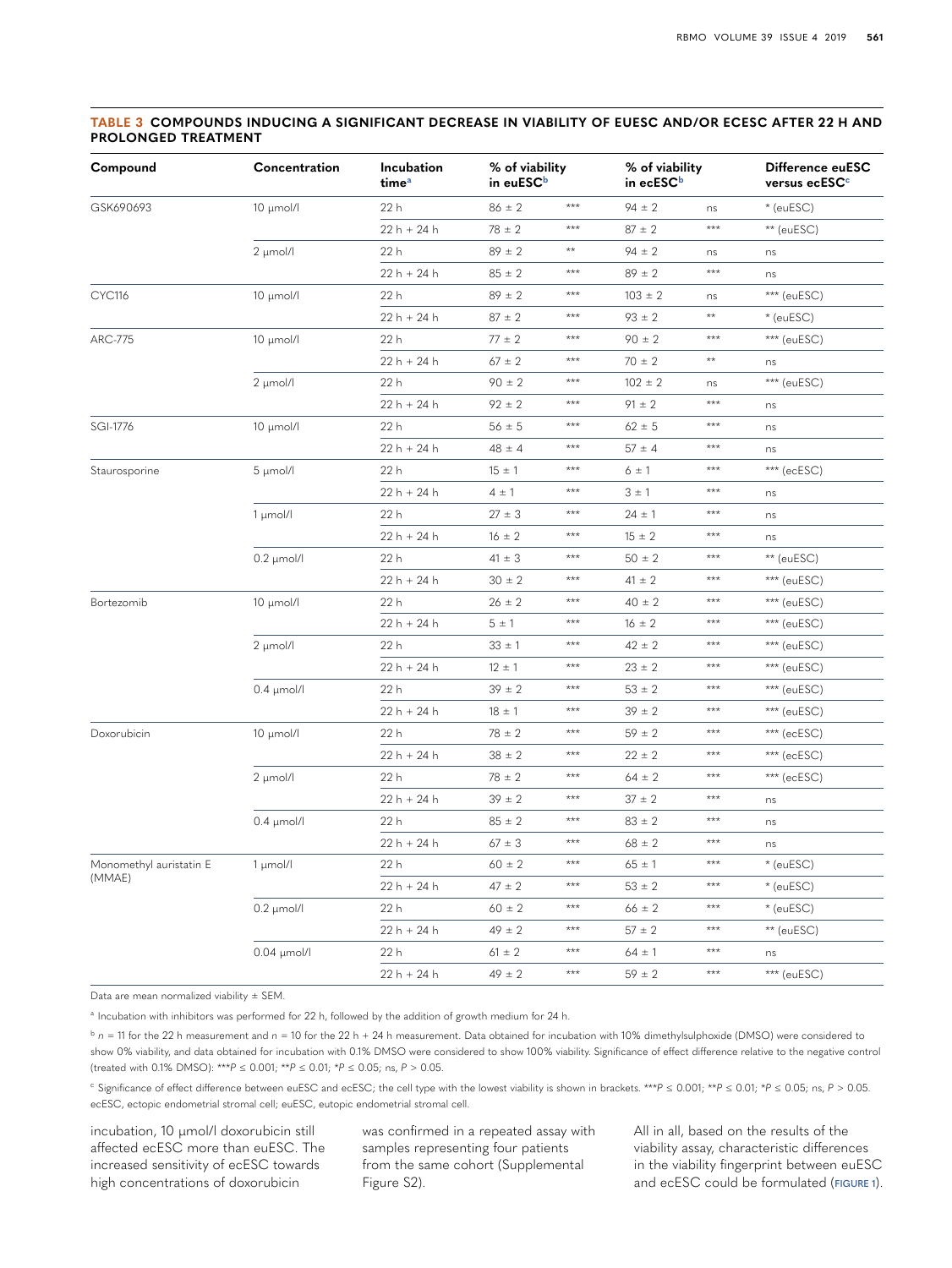# <span id="page-5-0"></span>**TABLE 3 COMPOUNDS INDUCING A SIGNIFICANT DECREASE IN VIABILITY OF EUESC AND/OR ECESC AFTER 22 H AND PROLONGED TREATMENT**

| Compound                          | Concentration    | Incubation<br>time <sup>a</sup> | % of viability<br>in euESC <sup>b</sup> |       | % of viability<br>in ecESC <sup>b</sup> |              | Difference euESC<br>versus ecESC <sup>c</sup> |
|-----------------------------------|------------------|---------------------------------|-----------------------------------------|-------|-----------------------------------------|--------------|-----------------------------------------------|
| GSK690693                         | 10 µmol/l        | 22 h                            | $86 \pm 2$                              | ***   | $94 \pm 2$                              | ns           | * (euESC)                                     |
|                                   |                  | $22h + 24h$                     | $78 \pm 2$                              | ***   | $87 \pm 2$                              | ***          | ** (euESC)                                    |
|                                   | 2 µmol/l         | 22 h                            | $89 \pm 2$                              | **    | $94 \pm 2$                              | ns           | ns                                            |
|                                   |                  | $22h + 24h$                     | $85 \pm 2$                              | ***   | $89 \pm 2$                              | ***          | ns                                            |
| <b>CYC116</b>                     | 10 µmol/l        | 22 h                            | $89 \pm 2$                              | ***   | $103 \pm 2$                             | ns           | $***$ (euESC)                                 |
|                                   |                  | $22h + 24h$                     | $87 \pm 2$                              | $***$ | $93 \pm 2$                              | $\star\star$ | $*$ (euESC)                                   |
| ARC-775                           | 10 µmol/l        | 22 h                            | $77 \pm 2$                              | $***$ | $90 \pm 2$                              | ***          | *** (euESC)                                   |
|                                   |                  | 22 h + 24 h                     | $67 \pm 2$                              | $***$ | $70 \pm 2$                              | $\star\star$ | ns                                            |
|                                   | 2 µmol/l         | 22 h                            | $90 \pm 2$                              | ***   | $102 \pm 2$                             | ns           | $***$ (euESC)                                 |
|                                   |                  | 22 h + 24 h                     | $92 \pm 2$                              | $***$ | $91 \pm 2$                              | $***$        | ns                                            |
| SGI-1776                          | $10 \mu$ mol/l   | 22 h                            | $56 \pm 5$                              | $***$ | $62 \pm 5$                              | $***$        | ns                                            |
|                                   |                  | 22 h + 24 h                     | $48 \pm 4$                              | $***$ | $57 \pm 4$                              | $***$        | ns                                            |
| Staurosporine                     | 5 µmol/l         | 22 h                            | $15 \pm 1$                              | $***$ | 6 ± 1                                   | ***          | *** (ecESC)                                   |
|                                   |                  | $22h + 24h$                     | $4 \pm 1$                               | $***$ | 3 ± 1                                   | $***$        | ns                                            |
|                                   | 1 µmol/l         | 22 h                            | $27 \pm 3$                              | $***$ | $24 \pm 1$                              | ***          | ns                                            |
|                                   |                  | $22h + 24h$                     | $16 \pm 2$                              | ***   | $15 \pm 2$                              | ***          | ns                                            |
|                                   | $0.2 \mu$ mol/l  | 22 h                            | $41 \pm 3$                              | ***   | $50 \pm 2$                              | ***          | ** (euESC)                                    |
|                                   |                  | $22h + 24h$                     | $30 \pm 2$                              | ***   | $41 \pm 2$                              | $***$        | *** (euESC)                                   |
| Bortezomib                        | $10 \mu$ mol/l   | 22 h                            | $26 \pm 2$                              | ***   | $40 \pm 2$                              | $***$        | *** (euESC)                                   |
|                                   |                  | $22h + 24h$                     | 5±1                                     | $***$ | $16 \pm 2$                              | $***$        | *** (euESC)                                   |
|                                   | 2 µmol/l         | 22 h                            | $33 \pm 1$                              | $***$ | $42 \pm 2$                              | ***          | *** (euESC)                                   |
|                                   |                  | $22h + 24h$                     | $12 \pm 1$                              | $***$ | $23 \pm 2$                              | ***          | *** (euESC)                                   |
|                                   | $0.4 \mu$ mol/l  | 22 h                            | $39 \pm 2$                              | ***   | $53 \pm 2$                              | $***$        | $***$ (euESC)                                 |
|                                   |                  | $22h + 24h$                     | $18 \pm 1$                              | ***   | $39 \pm 2$                              | $***$        | $***$ (euESC)                                 |
| Doxorubicin                       | $10 \mu$ mol/l   | 22 h                            | $78 \pm 2$                              | ***   | $59 \pm 2$                              | ***          | $***$ (ecESC)                                 |
|                                   |                  | 22 h + 24 h                     | $38 \pm 2$                              | $***$ | $22 \pm 2$                              | ***          | *** (ecESC)                                   |
|                                   | $2 \mu$ mol/l    | 22 h                            | $78 \pm 2$                              | ***   | $64 \pm 2$                              | ***          | *** (ecESC)                                   |
|                                   |                  | $22h + 24h$                     | $39 \pm 2$                              | ***   | $37 \pm 2$                              | ***          | ns                                            |
|                                   | $0.4 \mu$ mol/l  | 22 h                            | $85 \pm 2$                              | ***   | $83 \pm 2$                              | ***          | ns                                            |
|                                   |                  | $22h + 24h$                     | $67 \pm 3$                              | $***$ | $68 \pm 2$                              | ***          | ns                                            |
| Monomethyl auristatin E<br>(MMAE) | $1 \mu$ mol/l    | 22h                             | $60 \pm 2$                              | $***$ | $65 \pm 1$                              | ***          | * (euESC)                                     |
|                                   |                  | 22 h + 24 h                     | $47 \pm 2$                              | $***$ | $53 \pm 2$                              | $***$        | * (euESC)                                     |
|                                   | $0.2 \mu$ mol/l  | 22 h                            | $60 \pm 2$                              | $***$ | $66 \pm 2$                              | ***          | $*$ (euESC)                                   |
|                                   |                  | $22h + 24h$                     | $49 \pm 2$                              | ***   | $57 \pm 2$                              | $***$        | ** (euESC)                                    |
|                                   | $0.04 \mu$ mol/l | 22 h                            | $61 \pm 2$                              | ***   | $64 \pm 1$                              | ***          | ns                                            |
|                                   |                  | $22h + 24h$                     | $49 \pm 2$                              | $***$ | $59 \pm 2$                              | ***          | *** (euESC)                                   |

Data are mean normalized viability ± SEM.

<span id="page-5-1"></span><sup>a</sup> Incubation with inhibitors was performed for 22 h, followed by the addition of growth medium for 24 h.

<span id="page-5-2"></span> $b$  *n* = 11 for the 22 h measurement and *n* = 10 for the 22 h + 24 h measurement. Data obtained for incubation with 10% dimethylsulphoxide (DMSO) were considered to show 0% viability, and data obtained for incubation with 0.1% DMSO were considered to show 100% viability. Significance of effect difference relative to the negative control (treated with 0.1% DMSO): \*\*\**P* ≤ 0.001; \*\**P* ≤ 0.01; \**P* ≤ 0.05; ns, *P* > 0.05.

<span id="page-5-3"></span><sup>c</sup> Significance of effect difference between euESC and ecESC; the cell type with the lowest viability is shown in brackets. \*\*\**P* ≤ 0.001; \*\**P* ≤ 0.01; \**P* ≤ 0.05; ns, *P* > 0.05. ecESC, ectopic endometrial stromal cell; euESC, eutopic endometrial stromal cell.

incubation, 10 µmol/l doxorubicin still affected ecESC more than euESC. The increased sensitivity of ecESC towards high concentrations of doxorubicin

was confirmed in a repeated assay with samples representing four patients from the same cohort (Supplemental Figure S2).

All in all, based on the results of the viability assay, characteristic differences in the viability fingerprint between euESC and ecESC could be formulated (**[FIGURE 1](#page-6-0)**).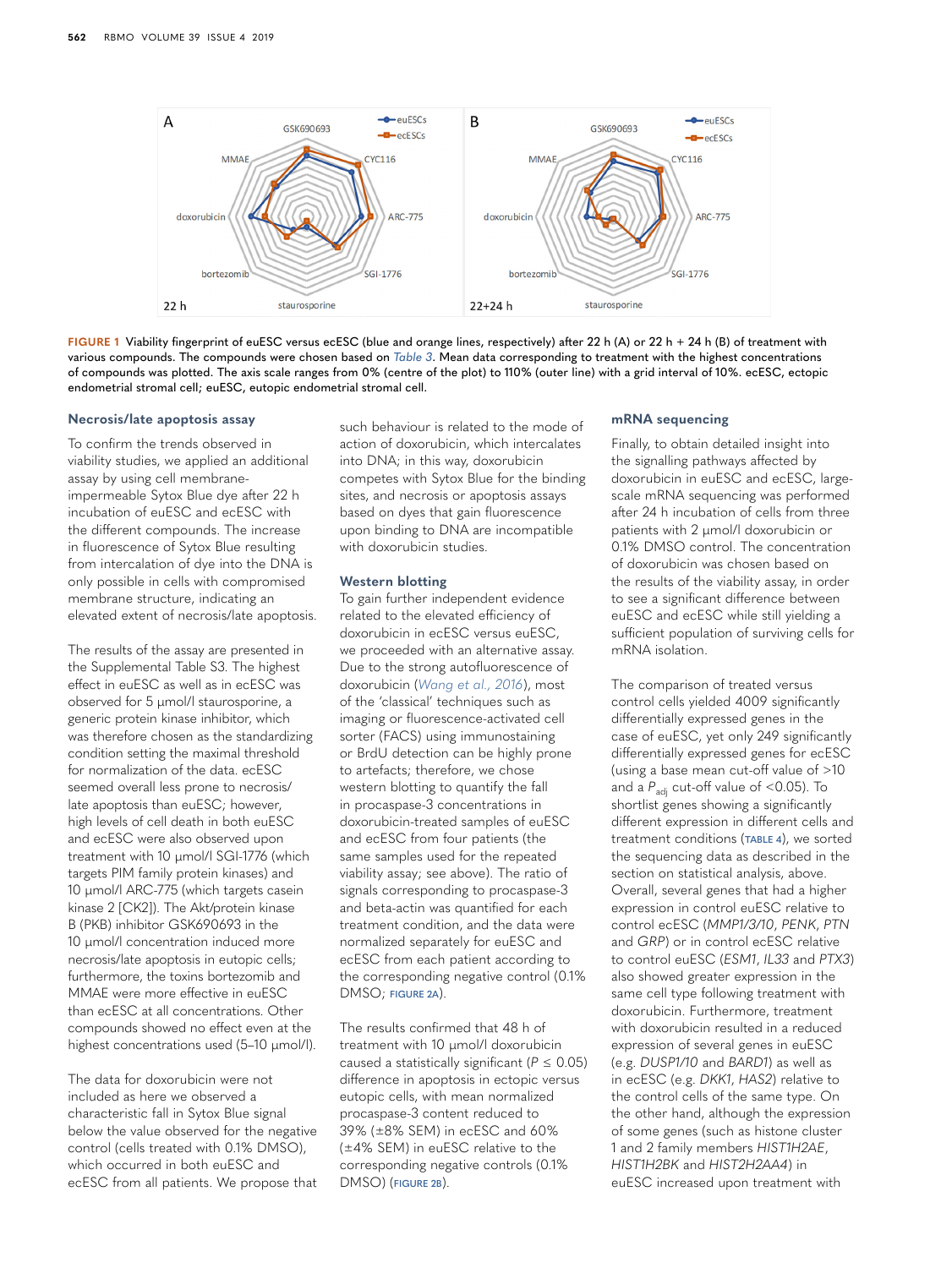

<span id="page-6-0"></span>**FIGURE 1** Viability fingerprint of euESC versus ecESC (blue and orange lines, respectively) after 22 h (A) or 22 h + 24 h (B) of treatment with various compounds. The compounds were chosen based on *[Table 3](#page-5-0)*. Mean data corresponding to treatment with the highest concentrations of compounds was plotted. The axis scale ranges from 0% (centre of the plot) to 110% (outer line) with a grid interval of 10%. ecESC, ectopic endometrial stromal cell; euESC, eutopic endometrial stromal cell.

#### **Necrosis/late apoptosis assay**

To confirm the trends observed in viability studies, we applied an additional assay by using cell membraneimpermeable Sytox Blue dye after 22 h incubation of euESC and ecESC with the different compounds. The increase in fluorescence of Sytox Blue resulting from intercalation of dye into the DNA is only possible in cells with compromised membrane structure, indicating an elevated extent of necrosis/late apoptosis.

The results of the assay are presented in the Supplemental Table S3. The highest effect in euESC as well as in ecESC was observed for 5 µmol/l staurosporine, a generic protein kinase inhibitor, which was therefore chosen as the standardizing condition setting the maximal threshold for normalization of the data. ecESC seemed overall less prone to necrosis/ late apoptosis than euESC; however, high levels of cell death in both euESC and ecESC were also observed upon treatment with 10 µmol/l SGI-1776 (which targets PIM family protein kinases) and 10 µmol/l ARC-775 (which targets casein kinase 2 [CK2]). The Akt/protein kinase B (PKB) inhibitor GSK690693 in the 10 µmol/l concentration induced more necrosis/late apoptosis in eutopic cells; furthermore, the toxins bortezomib and MMAE were more effective in euESC than ecESC at all concentrations. Other compounds showed no effect even at the highest concentrations used (5-10 µmol/l).

The data for doxorubicin were not included as here we observed a characteristic fall in Sytox Blue signal below the value observed for the negative control (cells treated with 0.1% DMSO), which occurred in both euESC and ecESC from all patients. We propose that such behaviour is related to the mode of action of doxorubicin, which intercalates into DNA; in this way, doxorubicin competes with Sytox Blue for the binding sites, and necrosis or apoptosis assays based on dyes that gain fluorescence upon binding to DNA are incompatible with doxorubicin studies.

#### **Western blotting**

To gain further independent evidence related to the elevated efficiency of doxorubicin in ecESC versus euESC, we proceeded with an alternative assay. Due to the strong autofluorescence of doxorubicin (*[Wang et al., 2016](#page-12-4)*), most of the 'classical' techniques such as imaging or fluorescence-activated cell sorter (FACS) using immunostaining or BrdU detection can be highly prone to artefacts; therefore, we chose western blotting to quantify the fall in procaspase-3 concentrations in doxorubicin-treated samples of euESC and ecESC from four patients (the same samples used for the repeated viability assay; see above). The ratio of signals corresponding to procaspase-3 and beta-actin was quantified for each treatment condition, and the data were normalized separately for euESC and ecESC from each patient according to the corresponding negative control (0.1% DMSO; **[FIGURE 2A](#page-7-0)**).

The results confirmed that 48 h of treatment with 10 µmol/l doxorubicin caused a statistically significant ( $P \le 0.05$ ) difference in apoptosis in ectopic versus eutopic cells, with mean normalized procaspase-3 content reduced to 39% (±8% SEM) in ecESC and 60% (±4% SEM) in euESC relative to the corresponding negative controls (0.1% DMSO) (**[FIGURE 2B](#page-7-0)**).

#### **mRNA sequencing**

Finally, to obtain detailed insight into the signalling pathways affected by doxorubicin in euESC and ecESC, largescale mRNA sequencing was performed after 24 h incubation of cells from three patients with 2 µmol/l doxorubicin or 0.1% DMSO control. The concentration of doxorubicin was chosen based on the results of the viability assay, in order to see a significant difference between euESC and ecESC while still yielding a sufficient population of surviving cells for mRNA isolation.

The comparison of treated versus control cells yielded 4009 significantly differentially expressed genes in the case of euESC, yet only 249 significantly differentially expressed genes for ecESC (using a base mean cut-off value of >10 and a P<sub>adj</sub> cut-off value of <0.05). To shortlist genes showing a significantly different expression in different cells and treatment conditions (**[TABLE 4](#page-7-1)**), we sorted the sequencing data as described in the section on statistical analysis, above. Overall, several genes that had a higher expression in control euESC relative to control ecESC (*MMP1/3/10*, *PENK*, *PTN* and *GRP*) or in control ecESC relative to control euESC (*ESM1*, *IL33* and *PTX3*) also showed greater expression in the same cell type following treatment with doxorubicin. Furthermore, treatment with doxorubicin resulted in a reduced expression of several genes in euESC (e.g. *DUSP1/10* and *BARD1*) as well as in ecESC (e.g. *DKK1*, *HAS2*) relative to the control cells of the same type. On the other hand, although the expression of some genes (such as histone cluster 1 and 2 family members *HIST1H2AE*, *HIST1H2BK* and *HIST2H2AA4*) in euESC increased upon treatment with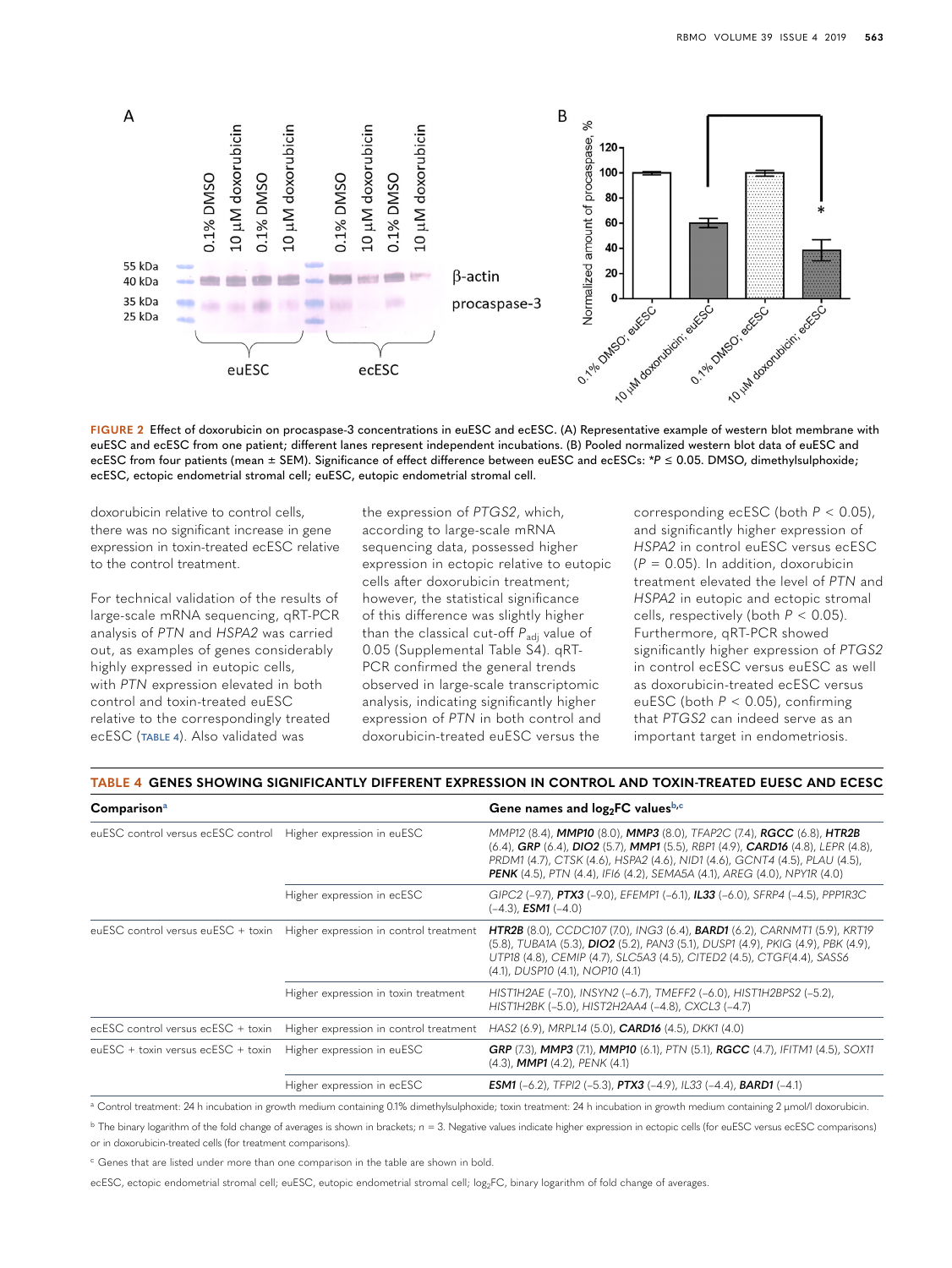

<span id="page-7-0"></span>

doxorubicin relative to control cells, there was no significant increase in gene expression in toxin-treated ecESC relative to the control treatment.

For technical validation of the results of large-scale mRNA sequencing, qRT-PCR analysis of *PTN* and *HSPA2* was carried out, as examples of genes considerably highly expressed in eutopic cells, with *PTN* expression elevated in both control and toxin-treated euESC relative to the correspondingly treated ecESC (**[TABLE 4](#page-7-1)**). Also validated was

the expression of *PTGS2*, which, according to large-scale mRNA sequencing data, possessed higher expression in ectopic relative to eutopic cells after doxorubicin treatment; however, the statistical significance of this difference was slightly higher than the classical cut-off  $P_{\text{adj}}$  value of 0.05 (Supplemental Table S4). qRT-PCR confirmed the general trends observed in large-scale transcriptomic analysis, indicating significantly higher expression of *PTN* in both control and doxorubicin-treated euESC versus the

corresponding ecESC (both *P* < 0.05), and significantly higher expression of *HSPA2* in control euESC versus ecESC (*P* = 0.05). In addition, doxorubicin treatment elevated the level of *PTN* and *HSPA2* in eutopic and ectopic stromal cells, respectively (both *P* < 0.05). Furthermore, qRT-PCR showed significantly higher expression of *PTGS2* in control ecESC versus euESC as well as doxorubicin-treated ecESC versus euESC (both *P* < 0.05), confirming that *PTGS2* can indeed serve as an important target in endometriosis.

#### <span id="page-7-1"></span>**TABLE 4 GENES SHOWING SIGNIFICANTLY DIFFERENT EXPRESSION IN CONTROL AND TOXIN-TREATED EUESC AND ECESC**

| Comparison <sup>a</sup>                                       |                                                                           | Gene names and log <sub>2</sub> FC values <sup>b,c</sup>                                                                                                                                                                                                                                                                  |  |  |
|---------------------------------------------------------------|---------------------------------------------------------------------------|---------------------------------------------------------------------------------------------------------------------------------------------------------------------------------------------------------------------------------------------------------------------------------------------------------------------------|--|--|
| euESC control versus ecESC control Higher expression in euESC |                                                                           | MMP12 (8.4), MMP10 (8.0), MMP3 (8.0), TFAP2C (7.4), RGCC (6.8), HTR2B<br>(6.4), GRP (6.4), DIO2 (5.7), MMP1 (5.5), RBP1 (4.9), CARD16 (4.8), LEPR (4.8),<br>PRDM1 (4.7), CTSK (4.6), HSPA2 (4.6), NID1 (4.6), GCNT4 (4.5), PLAU (4.5),<br><b>PENK</b> (4.5), PTN (4.4), IFI6 (4.2), SEMA5A (4.1), AREG (4.0), NPY1R (4.0) |  |  |
|                                                               | Higher expression in ecESC                                                | GIPC2 (-9.7), PTX3 (-9.0), EFEMP1 (-6.1), IL33 (-6.0), SFRP4 (-4.5), PPP1R3C<br>$(-4.3)$ . <b>ESM1</b> $(-4.0)$                                                                                                                                                                                                           |  |  |
|                                                               | euESC control versus euESC + toxin Higher expression in control treatment | <b>HTR2B</b> (8.0), CCDC107 (7.0), ING3 (6.4), <b>BARD1</b> (6.2), CARNMT1 (5.9), KRT19<br>(5.8), TUBA1A (5.3), <b>DIO2</b> (5.2), PAN3 (5.1), DUSP1 (4.9), PKIG (4.9), PBK (4.9),<br>UTP18 (4.8), CEMIP (4.7), SLC5A3 (4.5), CITED2 (4.5), CTGF(4.4), SASS6<br>(4.1), DUSP10 (4.1), NOP10 (4.1)                          |  |  |
|                                                               | Higher expression in toxin treatment                                      | HIST1H2AE (-7.0), INSYN2 (-6.7), TMEFF2 (-6.0), HIST1H2BPS2 (-5.2),<br>HIST1H2BK (-5.0), HIST2H2AA4 (-4.8), CXCL3 (-4.7)                                                                                                                                                                                                  |  |  |
|                                                               |                                                                           | ecESC control versus ecESC + toxin Higher expression in control treatment HAS2 (6.9), MRPL14 (5.0), <b>CARD16</b> (4.5), DKK1 (4.0)                                                                                                                                                                                       |  |  |
| euESC + toxin versus ecESC + toxin Higher expression in euESC |                                                                           | <b>GRP</b> (7.3), <b>MMP3</b> (7.1), <b>MMP10</b> (6.1), PTN (5.1), <b>RGCC</b> (4.7), IFITM1 (4.5), SOX11<br>$(4.3)$ , <b>MMP1</b> $(4.2)$ , <i>PENK</i> $(4.1)$                                                                                                                                                         |  |  |
|                                                               | Higher expression in ecESC                                                | <b>ESM1</b> (-6.2), TFPI2 (-5.3), <b>PTX3</b> (-4.9), IL33 (-4.4), <b>BARD1</b> (-4.1)                                                                                                                                                                                                                                    |  |  |

<span id="page-7-2"></span>a Control treatment: 24 h incubation in growth medium containing 0.1% dimethylsulphoxide; toxin treatment: 24 h incubation in growth medium containing 2 µmol/l doxorubicin.

<span id="page-7-3"></span><sup>b</sup> The binary logarithm of the fold change of averages is shown in brackets; *n* = 3. Negative values indicate higher expression in ectopic cells (for euESC versus ecESC comparisons) or in doxorubicin-treated cells (for treatment comparisons).

<span id="page-7-4"></span><sup>c</sup> Genes that are listed under more than one comparison in the table are shown in bold.

ecESC, ectopic endometrial stromal cell; euESC, eutopic endometrial stromal cell; log<sub>2</sub>FC, binary logarithm of fold change of averages.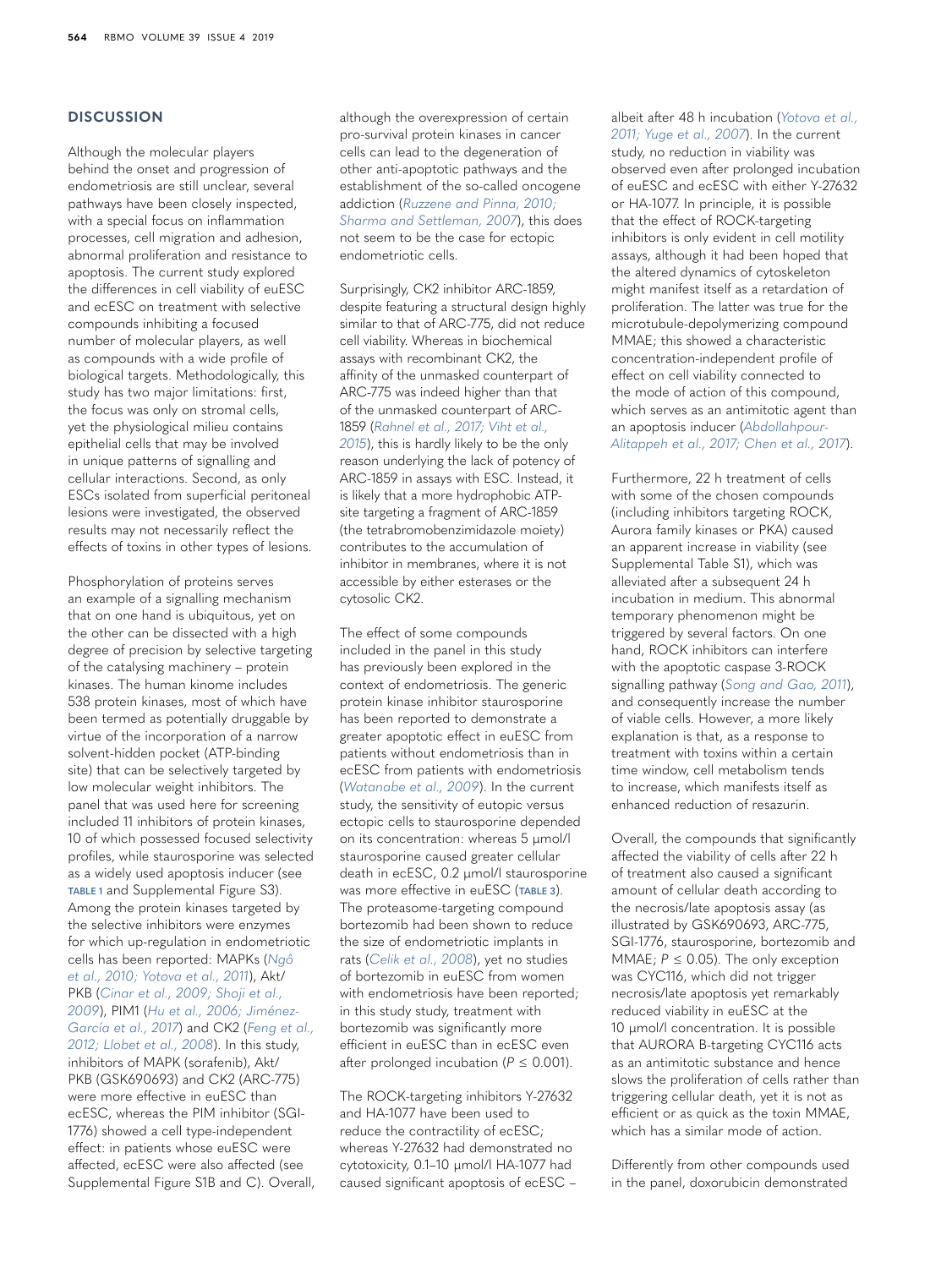# **DISCUSSION**

Although the molecular players behind the onset and progression of endometriosis are still unclear, several pathways have been closely inspected, with a special focus on inflammation processes, cell migration and adhesion, abnormal proliferation and resistance to apoptosis. The current study explored the differences in cell viability of euESC and ecESC on treatment with selective compounds inhibiting a focused number of molecular players, as well as compounds with a wide profile of biological targets. Methodologically, this study has two major limitations: first, the focus was only on stromal cells, yet the physiological milieu contains epithelial cells that may be involved in unique patterns of signalling and cellular interactions. Second, as only ESCs isolated from superficial peritoneal lesions were investigated, the observed results may not necessarily reflect the effects of toxins in other types of lesions.

Phosphorylation of proteins serves an example of a signalling mechanism that on one hand is ubiquitous, yet on the other can be dissected with a high degree of precision by selective targeting of the catalysing machinery – protein kinases. The human kinome includes 538 protein kinases, most of which have been termed as potentially druggable by virtue of the incorporation of a narrow solvent-hidden pocket (ATP-binding site) that can be selectively targeted by low molecular weight inhibitors. The panel that was used here for screening included 11 inhibitors of protein kinases, 10 of which possessed focused selectivity profiles, while staurosporine was selected as a widely used apoptosis inducer (see **[TABLE 1](#page-1-0)** and Supplemental Figure S3). Among the protein kinases targeted by the selective inhibitors were enzymes for which up-regulation in endometriotic cells has been reported: MAPKs (*[Ngô](#page-11-11)  [et al., 2010; Yotova et al., 2011](#page-11-11)*), Akt/ PKB (*[Cinar et al., 2009; Shoji et al.,](#page-10-11)  [2009](#page-10-11)*), PIM1 (*[Hu et al., 2006; Jiménez-](#page-10-12)[García et al., 2017](#page-10-12)*) and CK2 (*[Feng et al.,](#page-10-13)  [2012; Llobet et al., 2008](#page-10-13)*). In this study, inhibitors of MAPK (sorafenib), Akt/ PKB (GSK690693) and CK2 (ARC-775) were more effective in euESC than ecESC, whereas the PIM inhibitor (SGI-1776) showed a cell type-independent effect: in patients whose euESC were affected, ecESC were also affected (see Supplemental Figure S1B and C). Overall, although the overexpression of certain pro-survival protein kinases in cancer cells can lead to the degeneration of other anti-apoptotic pathways and the establishment of the so-called oncogene addiction (*[Ruzzene and Pinna, 2010;](#page-11-12)  [Sharma and Settleman, 2007](#page-11-12)*), this does not seem to be the case for ectopic endometriotic cells.

Surprisingly, CK2 inhibitor ARC-1859, despite featuring a structural design highly similar to that of ARC-775, did not reduce cell viability. Whereas in biochemical assays with recombinant CK2, the affinity of the unmasked counterpart of ARC-775 was indeed higher than that of the unmasked counterpart of ARC-1859 (*[Rahnel et al., 2017; Viht et al.,](#page-11-4)  [2015](#page-11-4)*), this is hardly likely to be the only reason underlying the lack of potency of ARC-1859 in assays with ESC. Instead, it is likely that a more hydrophobic ATPsite targeting a fragment of ARC-1859 (the tetrabromobenzimidazole moiety) contributes to the accumulation of inhibitor in membranes, where it is not accessible by either esterases or the cytosolic CK2.

The effect of some compounds included in the panel in this study has previously been explored in the context of endometriosis. The generic protein kinase inhibitor staurosporine has been reported to demonstrate a greater apoptotic effect in euESC from patients without endometriosis than in ecESC from patients with endometriosis (*[Watanabe et al., 2009](#page-12-5)*). In the current study, the sensitivity of eutopic versus ectopic cells to staurosporine depended on its concentration: whereas 5 µmol/l staurosporine caused greater cellular death in ecESC, 0.2 µmol/l staurosporine was more effective in euESC (**[TABLE 3](#page-5-0)**). The proteasome-targeting compound bortezomib had been shown to reduce the size of endometriotic implants in rats (*[Celik et al., 2008](#page-10-1)*), yet no studies of bortezomib in euESC from women with endometriosis have been reported; in this study study, treatment with bortezomib was significantly more efficient in euESC than in ecESC even after prolonged incubation ( $P \le 0.001$ ).

The ROCK-targeting inhibitors Y-27632 and HA-1077 have been used to reduce the contractility of ecESC; whereas Y-27632 had demonstrated no cytotoxicity, 0.1–10 µmol/l HA-1077 had caused significant apoptosis of ecESC –

albeit after 48 h incubation (*[Yotova et al.,](#page-12-6)  [2011; Yuge et al., 2007](#page-12-6)*). In the current study, no reduction in viability was observed even after prolonged incubation of euESC and ecESC with either Y-27632 or HA-1077. In principle, it is possible that the effect of ROCK-targeting inhibitors is only evident in cell motility assays, although it had been hoped that the altered dynamics of cytoskeleton might manifest itself as a retardation of proliferation. The latter was true for the microtubule-depolymerizing compound MMAE; this showed a characteristic concentration-independent profile of effect on cell viability connected to the mode of action of this compound, which serves as an antimitotic agent than an apoptosis inducer (*[Abdollahpour-](#page-10-9)[Alitappeh et al., 2017; Chen et al., 2017](#page-10-9)*).

Furthermore, 22 h treatment of cells with some of the chosen compounds (including inhibitors targeting ROCK, Aurora family kinases or PKA) caused an apparent increase in viability (see Supplemental Table S1), which was alleviated after a subsequent 24 h incubation in medium. This abnormal temporary phenomenon might be triggered by several factors. On one hand, ROCK inhibitors can interfere with the apoptotic caspase 3-ROCK signalling pathway (*[Song and Gao, 2011](#page-11-13)*), and consequently increase the number of viable cells. However, a more likely explanation is that, as a response to treatment with toxins within a certain time window, cell metabolism tends to increase, which manifests itself as enhanced reduction of resazurin.

Overall, the compounds that significantly affected the viability of cells after 22 h of treatment also caused a significant amount of cellular death according to the necrosis/late apoptosis assay (as illustrated by GSK690693, ARC-775, SGI-1776, staurosporine, bortezomib and MMAE;  $P \leq 0.05$ ). The only exception was CYC116, which did not trigger necrosis/late apoptosis yet remarkably reduced viability in euESC at the 10 µmol/l concentration. It is possible that AURORA B-targeting CYC116 acts as an antimitotic substance and hence slows the proliferation of cells rather than triggering cellular death, yet it is not as efficient or as quick as the toxin MMAE, which has a similar mode of action.

Differently from other compounds used in the panel, doxorubicin demonstrated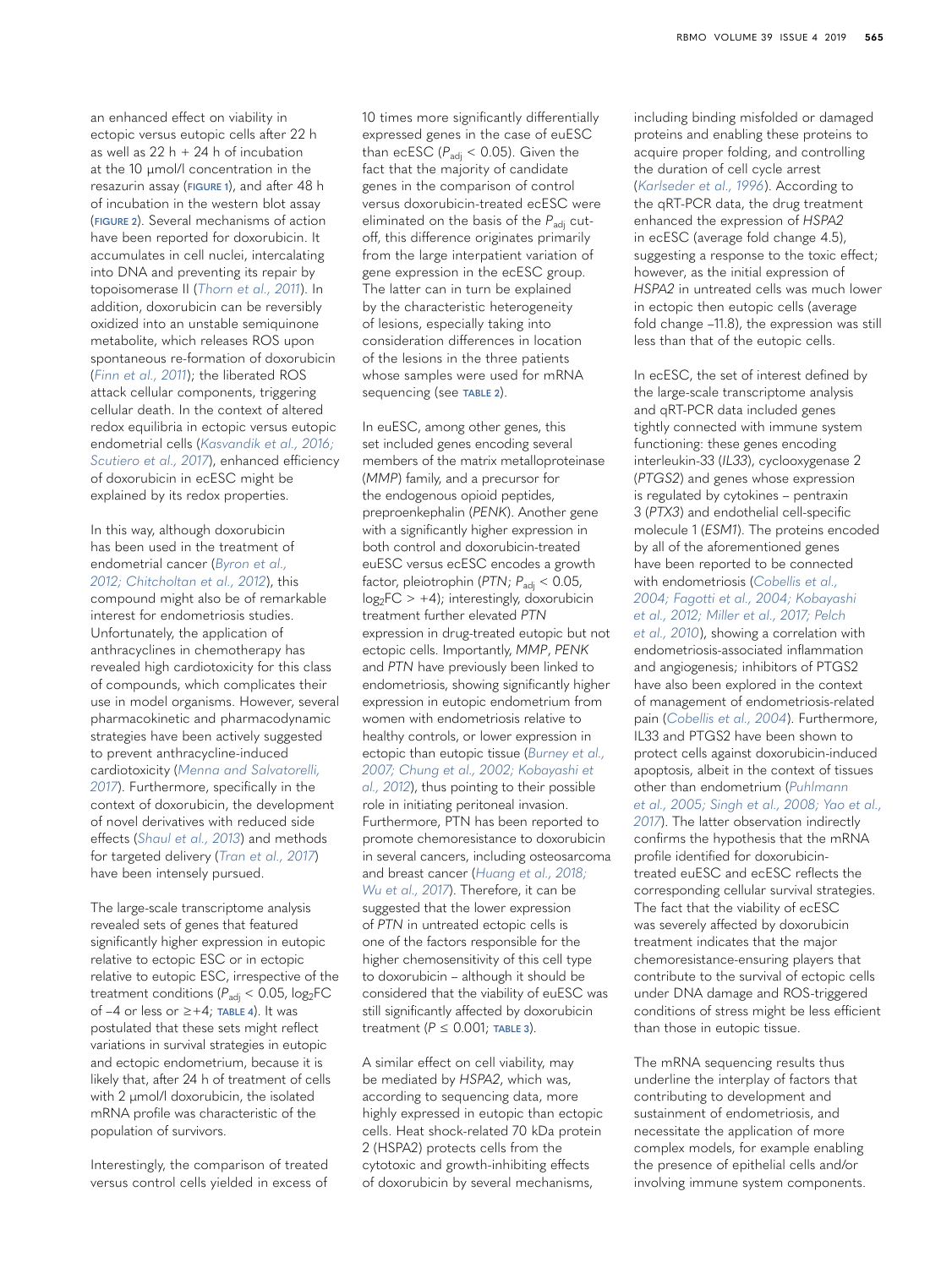an enhanced effect on viability in ectopic versus eutopic cells after 22 h as well as  $22 h + 24 h$  of incubation at the 10 µmol/l concentration in the resazurin assay (**[FIGURE 1](#page-6-0)**), and after 48 h of incubation in the western blot assay (**[FIGURE 2](#page-7-0)**). Several mechanisms of action have been reported for doxorubicin. It accumulates in cell nuclei, intercalating into DNA and preventing its repair by topoisomerase II (*[Thorn et al., 2011](#page-11-14)*). In addition, doxorubicin can be reversibly oxidized into an unstable semiquinone metabolite, which releases ROS upon spontaneous re-formation of doxorubicin (*[Finn et al., 2011](#page-10-14)*); the liberated ROS attack cellular components, triggering cellular death. In the context of altered redox equilibria in ectopic versus eutopic endometrial cells (*[Kasvandik et al., 2016;](#page-11-2)  [Scutiero et al., 2017](#page-11-2)*), enhanced efficiency of doxorubicin in ecESC might be explained by its redox properties.

In this way, although doxorubicin has been used in the treatment of endometrial cancer (*[Byron et al.,](#page-10-8)  [2012; Chitcholtan et al., 2012](#page-10-8)*), this compound might also be of remarkable interest for endometriosis studies. Unfortunately, the application of anthracyclines in chemotherapy has revealed high cardiotoxicity for this class of compounds, which complicates their use in model organisms. However, several pharmacokinetic and pharmacodynamic strategies have been actively suggested to prevent anthracycline-induced cardiotoxicity (*[Menna and Salvatorelli,](#page-11-15)  [2017](#page-11-15)*). Furthermore, specifically in the context of doxorubicin, the development of novel derivatives with reduced side effects (*[Shaul et al., 2013](#page-11-16)*) and methods for targeted delivery (*[Tran et al., 2017](#page-12-7)*) have been intensely pursued.

The large-scale transcriptome analysis revealed sets of genes that featured significantly higher expression in eutopic relative to ectopic ESC or in ectopic relative to eutopic ESC, irrespective of the treatment conditions ( $P_{\text{adj}}$  < 0.05,  $log_2$ FC of –4 or less or ≥+4; **[TABLE 4](#page-7-1)**). It was postulated that these sets might reflect variations in survival strategies in eutopic and ectopic endometrium, because it is likely that, after 24 h of treatment of cells with 2 µmol/l doxorubicin, the isolated mRNA profile was characteristic of the population of survivors.

Interestingly, the comparison of treated versus control cells yielded in excess of 10 times more significantly differentially expressed genes in the case of euESC than ecESC ( $P_{\text{adj}}$  < 0.05). Given the fact that the majority of candidate genes in the comparison of control versus doxorubicin-treated ecESC were eliminated on the basis of the P<sub>adi</sub> cutoff, this difference originates primarily from the large interpatient variation of gene expression in the ecESC group. The latter can in turn be explained by the characteristic heterogeneity of lesions, especially taking into consideration differences in location of the lesions in the three patients whose samples were used for mRNA sequencing (see **[TABLE 2](#page-2-0)**).

In euESC, among other genes, this set included genes encoding several members of the matrix metalloproteinase (*MMP*) family, and a precursor for the endogenous opioid peptides, preproenkephalin (*PENK*). Another gene with a significantly higher expression in both control and doxorubicin-treated euESC versus ecESC encodes a growth factor, pleiotrophin (PTN; P<sub>adj</sub> < 0.05,  $log_2FC$  > +4); interestingly, doxorubicin treatment further elevated *PTN* expression in drug-treated eutopic but not ectopic cells. Importantly, *MMP*, *PENK* and *PTN* have previously been linked to endometriosis, showing significantly higher expression in eutopic endometrium from women with endometriosis relative to healthy controls, or lower expression in ectopic than eutopic tissue (*[Burney et al.,](#page-10-15)  [2007; Chung et al., 2002; Kobayashi et](#page-10-15)  [al., 2012](#page-10-15)*), thus pointing to their possible role in initiating peritoneal invasion. Furthermore, PTN has been reported to promote chemoresistance to doxorubicin in several cancers, including osteosarcoma and breast cancer (*[Huang et al., 2018;](#page-10-16)  [Wu et al., 2017](#page-10-16)*). Therefore, it can be suggested that the lower expression of *PTN* in untreated ectopic cells is one of the factors responsible for the higher chemosensitivity of this cell type to doxorubicin – although it should be considered that the viability of euESC was still significantly affected by doxorubicin treatment (*P* ≤ 0.001; **[TABLE 3](#page-5-0)**).

A similar effect on cell viability, may be mediated by *HSPA2*, which was, according to sequencing data, more highly expressed in eutopic than ectopic cells. Heat shock-related 70 kDa protein 2 (HSPA2) protects cells from the cytotoxic and growth-inhibiting effects of doxorubicin by several mechanisms,

including binding misfolded or damaged proteins and enabling these proteins to acquire proper folding, and controlling the duration of cell cycle arrest (*[Karlseder et al., 1996](#page-11-17)*). According to the qRT-PCR data, the drug treatment enhanced the expression of *HSPA2* in ecESC (average fold change 4.5), suggesting a response to the toxic effect; however, as the initial expression of *HSPA2* in untreated cells was much lower in ectopic then eutopic cells (average fold change –11.8), the expression was still less than that of the eutopic cells.

In ecESC, the set of interest defined by the large-scale transcriptome analysis and qRT-PCR data included genes tightly connected with immune system functioning: these genes encoding interleukin-33 (*IL33*), cyclooxygenase 2 (*PTGS2*) and genes whose expression is regulated by cytokines – pentraxin 3 (*PTX3*) and endothelial cell-specific molecule 1 (*ESM1*). The proteins encoded by all of the aforementioned genes have been reported to be connected with endometriosis (*[Cobellis et al.,](#page-10-17)  [2004; Fagotti et al., 2004; Kobayashi](#page-10-17)  [et al., 2012; Miller et al., 2017; Pelch](#page-10-17)  [et al., 2010](#page-10-17)*), showing a correlation with endometriosis-associated inflammation and angiogenesis; inhibitors of PTGS2 have also been explored in the context of management of endometriosis-related pain (*[Cobellis et al., 2004](#page-10-17)*). Furthermore, IL33 and PTGS2 have been shown to protect cells against doxorubicin-induced apoptosis, albeit in the context of tissues other than endometrium (*[Puhlmann](#page-11-18)  [et al., 2005; Singh et al., 2008; Yao et al.,](#page-11-18)  [2017](#page-11-18)*). The latter observation indirectly confirms the hypothesis that the mRNA profile identified for doxorubicintreated euESC and ecESC reflects the corresponding cellular survival strategies. The fact that the viability of ecESC was severely affected by doxorubicin treatment indicates that the major chemoresistance-ensuring players that contribute to the survival of ectopic cells under DNA damage and ROS-triggered conditions of stress might be less efficient than those in eutopic tissue.

The mRNA sequencing results thus underline the interplay of factors that contributing to development and sustainment of endometriosis, and necessitate the application of more complex models, for example enabling the presence of epithelial cells and/or involving immune system components.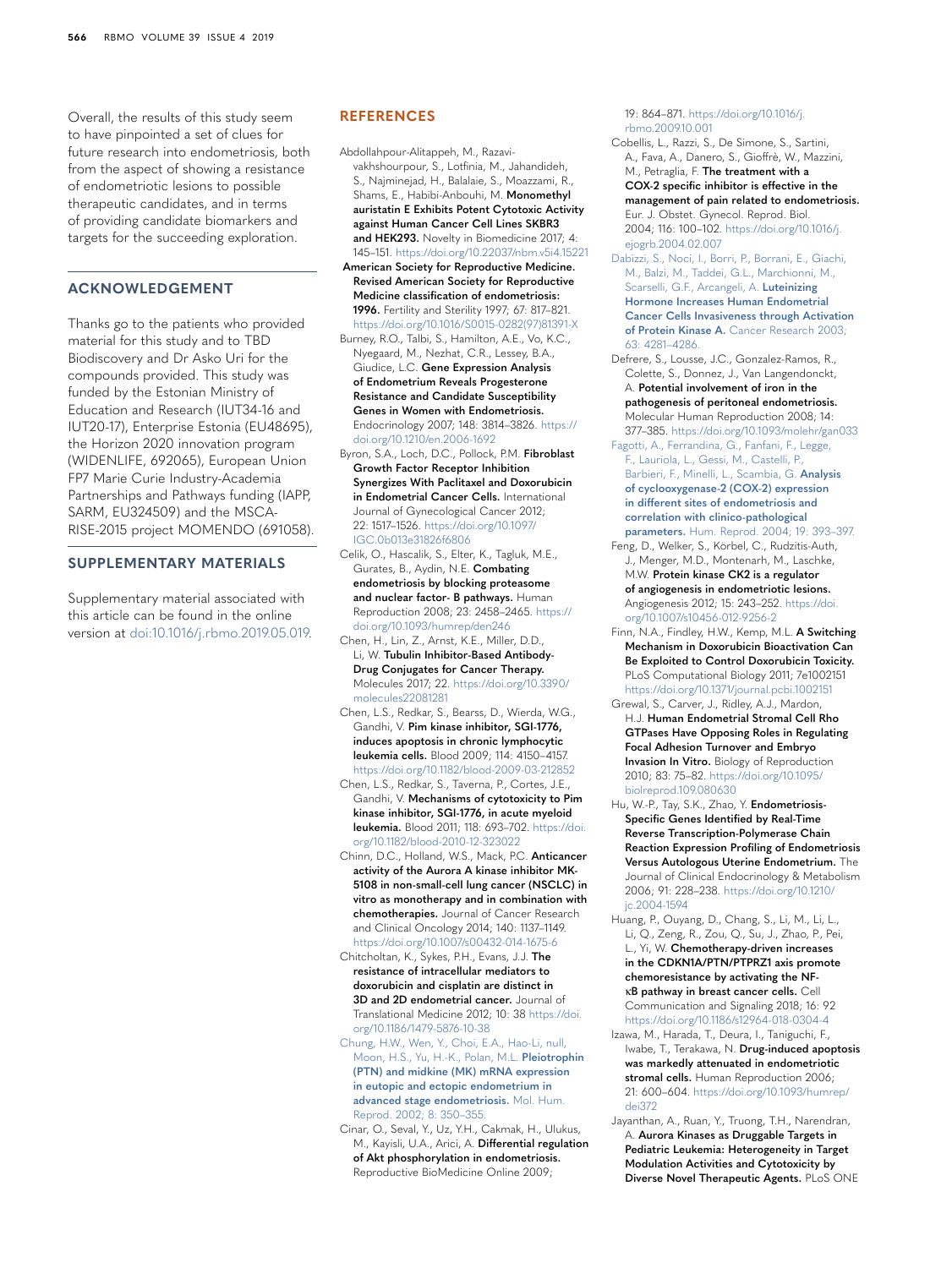Overall, the results of this study seem to have pinpointed a set of clues for future research into endometriosis, both from the aspect of showing a resistance of endometriotic lesions to possible therapeutic candidates, and in terms of providing candidate biomarkers and targets for the succeeding exploration.

# **ACKNOWLEDGEMENT**

Thanks go to the patients who provided material for this study and to TBD Biodiscovery and Dr Asko Uri for the compounds provided. This study was funded by the Estonian Ministry of Education and Research (IUT34-16 and IUT20-17), Enterprise Estonia (EU48695), the Horizon 2020 innovation program (WIDENLIFE, 692065), European Union FP7 Marie Curie Industry-Academia Partnerships and Pathways funding (IAPP, SARM, EU324509) and the MSCA-RISE-2015 project MOMENDO (691058).

#### **SUPPLEMENTARY MATERIALS**

Supplementary material associated with this article can be found in the online version at [doi:10.1016/j.rbmo.2019.05.019](https://doi.org/10.1016/j.rbmo.2019.05.019).

#### **REFERENCES**

<span id="page-10-9"></span>Abdollahpour-Alitappeh, M., Razavivakhshourpour, S., Lotfinia, M., Jahandideh, S., Najminejad, H., Balalaie, S., Moazzami, R., Shams, E., Habibi-Anbouhi, M. **Monomethyl auristatin E Exhibits Potent Cytotoxic Activity against Human Cancer Cell Lines SKBR3 and HEK293.** Novelty in Biomedicine 2017; 4: 145–151. <https://doi.org/10.22037/nbm.v5i4.15221>

<span id="page-10-10"></span> **American Society for Reproductive Medicine. Revised American Society for Reproductive Medicine classification of endometriosis: 1996.** Fertility and Sterility 1997; 67: 817–821. [https://doi.org/10.1016/S0015-0282\(97\)81391-X](https://doi.org/10.1016/S0015-0282(97)81391-X)

<span id="page-10-15"></span>Burney, R.O., Talbi, S., Hamilton, A.E., Vo, K.C., Nyegaard, M., Nezhat, C.R., Lessey, B.A., Giudice, L.C. **Gene Expression Analysis of Endometrium Reveals Progesterone Resistance and Candidate Susceptibility Genes in Women with Endometriosis.** Endocrinology 2007; 148: 3814–3826. [https://](https://doi.org/10.1210/en.2006-1692) [doi.org/10.1210/en.2006-1692](https://doi.org/10.1210/en.2006-1692)

<span id="page-10-8"></span>Byron, S.A., Loch, D.C., Pollock, P.M. **Fibroblast Growth Factor Receptor Inhibition Synergizes With Paclitaxel and Doxorubicin in Endometrial Cancer Cells.** International Journal of Gynecological Cancer 2012; 22: 1517–1526. [https://doi.org/10.1097/](https://doi.org/10.1097/IGC.0b013e31826f6806) [IGC.0b013e31826f6806](https://doi.org/10.1097/IGC.0b013e31826f6806)

<span id="page-10-1"></span>Celik, O., Hascalik, S., Elter, K., Tagluk, M.E., Gurates, B., Aydin, N.E. **Combating endometriosis by blocking proteasome and nuclear factor- B pathways.** Human Reproduction 2008; 23: 2458–2465. [https://](https://doi.org/10.1093/humrep/den246) [doi.org/10.1093/humrep/den246](https://doi.org/10.1093/humrep/den246)

Chen, H., Lin, Z., Arnst, K.E., Miller, D.D., Li, W. **Tubulin Inhibitor-Based Antibody-Drug Conjugates for Cancer Therapy.** Molecules 2017; 22. [https://doi.org/10.3390/](https://doi.org/10.3390/molecules22081281) [molecules22081281](https://doi.org/10.3390/molecules22081281)

Chen, L.S., Redkar, S., Bearss, D., Wierda, W.G., Gandhi, V. **Pim kinase inhibitor, SGI-1776, induces apoptosis in chronic lymphocytic leukemia cells.** Blood 2009; 114: 4150–4157. <https://doi.org/10.1182/blood-2009-03-212852>

<span id="page-10-4"></span>Chen, L.S., Redkar, S., Taverna, P., Cortes, J.E., Gandhi, V. **Mechanisms of cytotoxicity to Pim kinase inhibitor, SGI-1776, in acute myeloid leukemia.** Blood 2011; 118: 693–702. [https://doi.](https://doi.org/10.1182/blood-2010-12-323022) [org/10.1182/blood-2010-12-323022](https://doi.org/10.1182/blood-2010-12-323022)

<span id="page-10-2"></span>Chinn, D.C., Holland, W.S., Mack, P.C. **Anticancer activity of the Aurora A kinase inhibitor MK-5108 in non-small-cell lung cancer (NSCLC) in vitro as monotherapy and in combination with chemotherapies.** Journal of Cancer Research and Clinical Oncology 2014; 140: 1137–1149. <https://doi.org/10.1007/s00432-014-1675-6>

Chitcholtan, K., Sykes, P.H., Evans, J.J. **The resistance of intracellular mediators to doxorubicin and cisplatin are distinct in 3D and 2D endometrial cancer.** Journal of Translational Medicine 2012; 10: 38 [https://doi.](https://doi.org/10.1186/1479-5876-10-38) [org/10.1186/1479-5876-10-38](https://doi.org/10.1186/1479-5876-10-38)

[Chung, H.W., Wen, Y., Choi, E.A., Hao-Li, null,](http://refhub.elsevier.com/S1472-6483(19)30583-8/sbref0011)  [Moon, H.S., Yu, H.-K., Polan, M.L.](http://refhub.elsevier.com/S1472-6483(19)30583-8/sbref0011) **Pleiotrophin [\(PTN\) and midkine \(MK\) mRNA expression](http://refhub.elsevier.com/S1472-6483(19)30583-8/sbref0011)  [in eutopic and ectopic endometrium in](http://refhub.elsevier.com/S1472-6483(19)30583-8/sbref0011)  [advanced stage endometriosis.](http://refhub.elsevier.com/S1472-6483(19)30583-8/sbref0011)** Mol. Hum. [Reprod. 2002; 8: 350–355.](http://refhub.elsevier.com/S1472-6483(19)30583-8/sbref0011)

<span id="page-10-11"></span>Cinar, O., Seval, Y., Uz, Y.H., Cakmak, H., Ulukus, M., Kayisli, U.A., Arici, A. **Differential regulation of Akt phosphorylation in endometriosis.** Reproductive BioMedicine Online 2009;

19: 864–871. [https://doi.org/10.1016/j.](https://doi.org/10.1016/j.rbmo.2009.10.001) [rbmo.2009.10.001](https://doi.org/10.1016/j.rbmo.2009.10.001)

<span id="page-10-17"></span>Cobellis, L., Razzi, S., De Simone, S., Sartini, A., Fava, A., Danero, S., Gioffrè, W., Mazzini, M., Petraglia, F. **The treatment with a COX-2 specific inhibitor is effective in the management of pain related to endometriosis.** Eur. J. Obstet. Gynecol. Reprod. Biol. 2004; 116: 100–102. [https://doi.org/10.1016/j.](https://doi.org/10.1016/j.ejogrb.2004.02.007) [ejogrb.2004.02.007](https://doi.org/10.1016/j.ejogrb.2004.02.007)

<span id="page-10-5"></span>[Dabizzi, S., Noci, I., Borri, P., Borrani, E., Giachi,](http://refhub.elsevier.com/S1472-6483(19)30583-8/sbref0014)  [M., Balzi, M., Taddei, G.L., Marchionni, M.,](http://refhub.elsevier.com/S1472-6483(19)30583-8/sbref0014)  [Scarselli, G.F., Arcangeli, A.](http://refhub.elsevier.com/S1472-6483(19)30583-8/sbref0014) **Luteinizing [Hormone Increases Human Endometrial](http://refhub.elsevier.com/S1472-6483(19)30583-8/sbref0014)  [Cancer Cells Invasiveness through Activation](http://refhub.elsevier.com/S1472-6483(19)30583-8/sbref0014)  of Protein Kinase A.** [Cancer Research 2003;](http://refhub.elsevier.com/S1472-6483(19)30583-8/sbref0014)  [63: 4281–4286.](http://refhub.elsevier.com/S1472-6483(19)30583-8/sbref0014)

<span id="page-10-0"></span>Defrere, S., Lousse, J.C., Gonzalez-Ramos, R., Colette, S., Donnez, J., Van Langendonckt, A. **Potential involvement of iron in the** 

**pathogenesis of peritoneal endometriosis.** Molecular Human Reproduction 2008; 14: 377–385.<https://doi.org/10.1093/molehr/gan033> [Fagotti, A., Ferrandina, G., Fanfani, F., Legge,](http://refhub.elsevier.com/S1472-6483(19)30583-8/sbref0016) 

[F., Lauriola, L., Gessi, M., Castelli, P.,](http://refhub.elsevier.com/S1472-6483(19)30583-8/sbref0016)  [Barbieri, F., Minelli, L., Scambia, G.](http://refhub.elsevier.com/S1472-6483(19)30583-8/sbref0016) **Analysis [of cyclooxygenase-2 \(COX-2\) expression](http://refhub.elsevier.com/S1472-6483(19)30583-8/sbref0016)  [in different sites of endometriosis and](http://refhub.elsevier.com/S1472-6483(19)30583-8/sbref0016)  [correlation with clinico-pathological](http://refhub.elsevier.com/S1472-6483(19)30583-8/sbref0016)  parameters.** [Hum. Reprod. 2004; 19: 393–397.](http://refhub.elsevier.com/S1472-6483(19)30583-8/sbref0016)

<span id="page-10-13"></span>Feng, D., Welker, S., Körbel, C., Rudzitis-Auth, J., Menger, M.D., Montenarh, M., Laschke, M.W. **Protein kinase CK2 is a regulator of angiogenesis in endometriotic lesions.** Angiogenesis 2012; 15: 243–252. [https://doi.](https://doi.org/10.1007/s10456-012-9256-2) [org/10.1007/s10456-012-9256-2](https://doi.org/10.1007/s10456-012-9256-2)

<span id="page-10-14"></span>Finn, N.A., Findley, H.W., Kemp, M.L. **A Switching Mechanism in Doxorubicin Bioactivation Can Be Exploited to Control Doxorubicin Toxicity.** PLoS Computational Biology 2011; 7e1002151 <https://doi.org/10.1371/journal.pcbi.1002151>

<span id="page-10-6"></span>Grewal, S., Carver, J., Ridley, A.J., Mardon, H.J. **Human Endometrial Stromal Cell Rho GTPases Have Opposing Roles in Regulating Focal Adhesion Turnover and Embryo Invasion In Vitro.** Biology of Reproduction 2010; 83: 75–82. [https://doi.org/10.1095/](https://doi.org/10.1095/biolreprod.109.080630) [biolreprod.109.080630](https://doi.org/10.1095/biolreprod.109.080630)

<span id="page-10-12"></span>Hu, W.-P., Tay, S.K., Zhao, Y. **Endometriosis-Specific Genes Identified by Real-Time Reverse Transcription-Polymerase Chain Reaction Expression Profiling of Endometriosis Versus Autologous Uterine Endometrium.** The Journal of Clinical Endocrinology & Metabolism 2006; 91: 228–238. [https://doi.org/10.1210/](https://doi.org/10.1210/jc.2004-1594) [jc.2004-1594](https://doi.org/10.1210/jc.2004-1594)

<span id="page-10-16"></span>Huang, P., Ouyang, D., Chang, S., Li, M., Li, L., Li, Q., Zeng, R., Zou, Q., Su, J., Zhao, P., Pei, L., Yi, W. **Chemotherapy-driven increases in the CDKN1A/PTN/PTPRZ1 axis promote chemoresistance by activating the NF**κ**B pathway in breast cancer cells.** Cell Communication and Signaling 2018; 16: 92 <https://doi.org/10.1186/s12964-018-0304-4>

<span id="page-10-7"></span>Izawa, M., Harada, T., Deura, I., Taniguchi, F., Iwabe, T., Terakawa, N. **Drug-induced apoptosis was markedly attenuated in endometriotic stromal cells.** Human Reproduction 2006; 21: 600–604. [https://doi.org/10.1093/humrep/](https://doi.org/10.1093/humrep/dei372) [dei372](https://doi.org/10.1093/humrep/dei372)

<span id="page-10-3"></span>Jayanthan, A., Ruan, Y., Truong, T.H., Narendran, A. **Aurora Kinases as Druggable Targets in Pediatric Leukemia: Heterogeneity in Target Modulation Activities and Cytotoxicity by Diverse Novel Therapeutic Agents.** PLoS ONE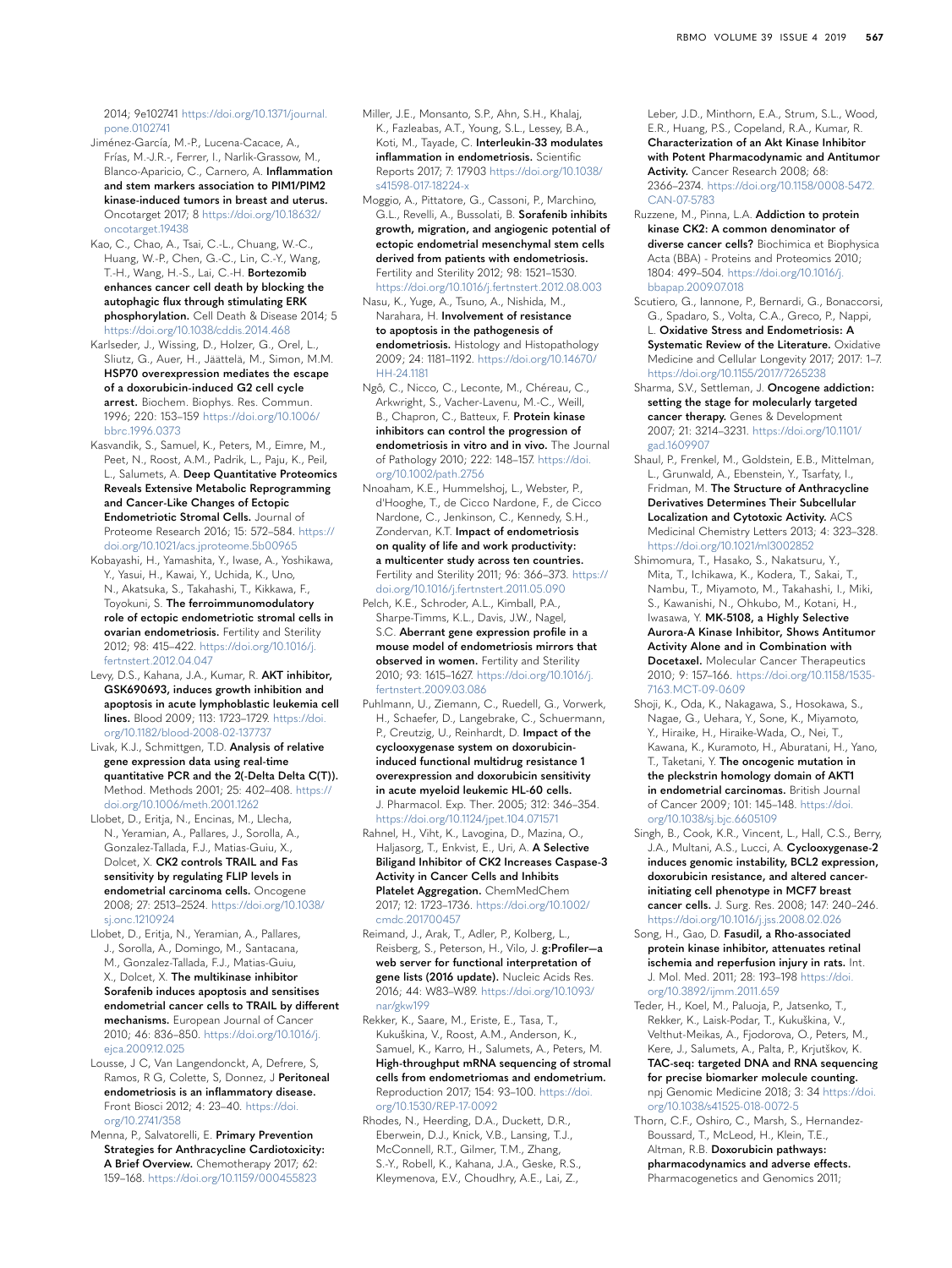2014; 9e102741 [https://doi.org/10.1371/journal.](https://doi.org/10.1371/journal.pone.0102741) [pone.0102741](https://doi.org/10.1371/journal.pone.0102741)

- Jiménez-García, M.-P., Lucena-Cacace, A., Frías, M.-J.R.-, Ferrer, I., Narlik-Grassow, M., Blanco-Aparicio, C., Carnero, A. **Inflammation and stem markers association to PIM1/PIM2 kinase-induced tumors in breast and uterus.** Oncotarget 2017; 8 [https://doi.org/10.18632/](https://doi.org/10.18632/oncotarget.19438) [oncotarget.19438](https://doi.org/10.18632/oncotarget.19438)
- <span id="page-11-6"></span>Kao, C., Chao, A., Tsai, C.-L., Chuang, W.-C., Huang, W.-P., Chen, G.-C., Lin, C.-Y., Wang, T.-H., Wang, H.-S., Lai, C.-H. **Bortezomib enhances cancer cell death by blocking the autophagic flux through stimulating ERK phosphorylation.** Cell Death & Disease 2014; 5 <https://doi.org/10.1038/cddis.2014.468>
- <span id="page-11-17"></span>Karlseder, J., Wissing, D., Holzer, G., Orel, L., Sliutz, G., Auer, H., Jäättelä, M., Simon, M.M. **HSP70 overexpression mediates the escape of a doxorubicin-induced G2 cell cycle arrest.** Biochem. Biophys. Res. Commun. 1996; 220: 153–159 [https://doi.org/10.1006/](https://doi.org/10.1006/bbrc.1996.0373) [bbrc.1996.0373](https://doi.org/10.1006/bbrc.1996.0373)
- <span id="page-11-2"></span>Kasvandik, S., Samuel, K., Peters, M., Eimre, M., Peet, N., Roost, A.M., Padrik, L., Paju, K., Peil, L., Salumets, A. **Deep Quantitative Proteomics Reveals Extensive Metabolic Reprogramming and Cancer-Like Changes of Ectopic Endometriotic Stromal Cells.** Journal of Proteome Research 2016; 15: 572–584. [https://](https://doi.org/10.1021/acs.jproteome.5b00965) [doi.org/10.1021/acs.jproteome.5b00965](https://doi.org/10.1021/acs.jproteome.5b00965)
- Kobayashi, H., Yamashita, Y., Iwase, A., Yoshikawa, Y., Yasui, H., Kawai, Y., Uchida, K., Uno, N., Akatsuka, S., Takahashi, T., Kikkawa, F., Toyokuni, S. **The ferroimmunomodulatory role of ectopic endometriotic stromal cells in ovarian endometriosis.** Fertility and Sterility 2012; 98: 415–422. [https://doi.org/10.1016/j.](https://doi.org/10.1016/j.fertnstert.2012.04.047) [fertnstert.2012.04.047](https://doi.org/10.1016/j.fertnstert.2012.04.047)
- <span id="page-11-3"></span>Levy, D.S., Kahana, J.A., Kumar, R. **AKT inhibitor, GSK690693, induces growth inhibition and apoptosis in acute lymphoblastic leukemia cell lines.** Blood 2009; 113: 1723–1729. [https://doi.](https://doi.org/10.1182/blood-2008-02-137737) [org/10.1182/blood-2008-02-137737](https://doi.org/10.1182/blood-2008-02-137737)
- <span id="page-11-9"></span>Livak, K.J., Schmittgen, T.D. **Analysis of relative gene expression data using real-time quantitative PCR and the 2(-Delta Delta C(T)).** Method. Methods 2001; 25: 402–408. [https://](https://doi.org/10.1006/meth.2001.1262) [doi.org/10.1006/meth.2001.1262](https://doi.org/10.1006/meth.2001.1262)
- Llobet, D., Eritja, N., Encinas, M., Llecha, N., Yeramian, A., Pallares, J., Sorolla, A., Gonzalez-Tallada, F.J., Matias-Guiu, X., Dolcet, X. **CK2 controls TRAIL and Fas sensitivity by regulating FLIP levels in endometrial carcinoma cells.** Oncogene 2008; 27: 2513–2524. [https://doi.org/10.1038/](https://doi.org/10.1038/sj.onc.1210924) [sj.onc.1210924](https://doi.org/10.1038/sj.onc.1210924)
- <span id="page-11-5"></span>Llobet, D., Eritja, N., Yeramian, A., Pallares, J., Sorolla, A., Domingo, M., Santacana, M., Gonzalez-Tallada, F.J., Matias-Guiu, X., Dolcet, X. **The multikinase inhibitor Sorafenib induces apoptosis and sensitises endometrial cancer cells to TRAIL by different mechanisms.** European Journal of Cancer 2010; 46: 836–850. [https://doi.org/10.1016/j.](https://doi.org/10.1016/j.ejca.2009.12.025) [ejca.2009.12.025](https://doi.org/10.1016/j.ejca.2009.12.025)
- Lousse, J C, Van Langendonckt, A, Defrere, S, Ramos, R G, Colette, S, Donnez, J **Peritoneal endometriosis is an inflammatory disease.** Front Biosci 2012; 4: 23–40. [https://doi.](https://doi.org/10.2741/358) [org/10.2741/358](https://doi.org/10.2741/358)
- <span id="page-11-15"></span>Menna, P., Salvatorelli, E. **Primary Prevention Strategies for Anthracycline Cardiotoxicity: A Brief Overview.** Chemotherapy 2017; 62: 159–168. <https://doi.org/10.1159/000455823>
- Miller, J.E., Monsanto, S.P., Ahn, S.H., Khalaj, K., Fazleabas, A.T., Young, S.L., Lessey, B.A., Koti, M., Tayade, C. **Interleukin-33 modulates inflammation in endometriosis.** Scientific Reports 2017; 7: 17903 [https://doi.org/10.1038/](https://doi.org/10.1038/s41598-017-18224-x) [s41598-017-18224-x](https://doi.org/10.1038/s41598-017-18224-x)
- Moggio, A., Pittatore, G., Cassoni, P., Marchino, G.L., Revelli, A., Bussolati, B. **Sorafenib inhibits growth, migration, and angiogenic potential of ectopic endometrial mesenchymal stem cells derived from patients with endometriosis.** Fertility and Sterility 2012; 98: 1521–1530. <https://doi.org/10.1016/j.fertnstert.2012.08.003>
- <span id="page-11-1"></span>Nasu, K., Yuge, A., Tsuno, A., Nishida, M., Narahara, H. **Involvement of resistance to apoptosis in the pathogenesis of endometriosis.** Histology and Histopathology 2009; 24: 1181–1192. [https://doi.org/10.14670/](https://doi.org/10.14670/HH-24.1181) [HH-24.1181](https://doi.org/10.14670/HH-24.1181)
- <span id="page-11-11"></span>Ngô, C., Nicco, C., Leconte, M., Chéreau, C., Arkwright, S., Vacher-Lavenu, M.-C., Weill, B., Chapron, C., Batteux, F. **Protein kinase inhibitors can control the progression of endometriosis in vitro and in vivo.** The Journal of Pathology 2010; 222: 148–157. [https://doi.](https://doi.org/10.1002/path.2756) [org/10.1002/path.2756](https://doi.org/10.1002/path.2756)
- <span id="page-11-0"></span>Nnoaham, K.E., Hummelshoj, L., Webster, P., d'Hooghe, T., de Cicco Nardone, F., de Cicco Nardone, C., Jenkinson, C., Kennedy, S.H., Zondervan, K.T. **Impact of endometriosis on quality of life and work productivity: a multicenter study across ten countries.** Fertility and Sterility 2011; 96: 366–373. [https://](https://doi.org/10.1016/j.fertnstert.2011.05.090)
- [doi.org/10.1016/j.fertnstert.2011.05.090](https://doi.org/10.1016/j.fertnstert.2011.05.090) Pelch, K.E., Schroder, A.L., Kimball, P.A., Sharpe-Timms, K.L., Davis, J.W., Nagel, S.C. **Aberrant gene expression profile in a**
- **mouse model of endometriosis mirrors that observed in women.** Fertility and Sterility 2010; 93: 1615–1627. [https://doi.org/10.1016/j.](https://doi.org/10.1016/j.fertnstert.2009.03.086) [fertnstert.2009.03.086](https://doi.org/10.1016/j.fertnstert.2009.03.086)
- <span id="page-11-18"></span>Puhlmann, U., Ziemann, C., Ruedell, G., Vorwerk, H., Schaefer, D., Langebrake, C., Schuermann, P., Creutzig, U., Reinhardt, D. **Impact of the cyclooxygenase system on doxorubicininduced functional multidrug resistance 1 overexpression and doxorubicin sensitivity in acute myeloid leukemic HL-60 cells.** J. Pharmacol. Exp. Ther. 2005; 312: 346–354. <https://doi.org/10.1124/jpet.104.071571>
- <span id="page-11-4"></span>Rahnel, H., Viht, K., Lavogina, D., Mazina, O., Haljasorg, T., Enkvist, E., Uri, A. **A Selective Biligand Inhibitor of CK2 Increases Caspase-3 Activity in Cancer Cells and Inhibits Platelet Aggregation.** ChemMedChem 2017; 12: 1723–1736. [https://doi.org/10.1002/](https://doi.org/10.1002/cmdc.201700457) [cmdc.201700457](https://doi.org/10.1002/cmdc.201700457)
- <span id="page-11-10"></span>Reimand, J., Arak, T., Adler, P., Kolberg, L., Reisberg, S., Peterson, H., Vilo, J. **g:Profiler—a web server for functional interpretation of gene lists (2016 update).** Nucleic Acids Res. 2016; 44: W83–W89. [https://doi.org/10.1093/](https://doi.org/10.1093/nar/gkw199) [nar/gkw199](https://doi.org/10.1093/nar/gkw199)
- <span id="page-11-7"></span>Rekker, K., Saare, M., Eriste, E., Tasa, T., Kukuškina, V., Roost, A.M., Anderson, K., Samuel, K., Karro, H., Salumets, A., Peters, M. **High-throughput mRNA sequencing of stromal cells from endometriomas and endometrium.** Reproduction 2017; 154: 93–100. [https://doi.](https://doi.org/10.1530/REP-17-0092) [org/10.1530/REP-17-0092](https://doi.org/10.1530/REP-17-0092)
- Rhodes, N., Heerding, D.A., Duckett, D.R., Eberwein, D.J., Knick, V.B., Lansing, T.J., McConnell, R.T., Gilmer, T.M., Zhang, S.-Y., Robell, K., Kahana, J.A., Geske, R.S., Kleymenova, E.V., Choudhry, A.E., Lai, Z.,

Leber, J.D., Minthorn, E.A., Strum, S.L., Wood, E.R., Huang, P.S., Copeland, R.A., Kumar, R. **Characterization of an Akt Kinase Inhibitor with Potent Pharmacodynamic and Antitumor Activity.** Cancer Research 2008; 68: 2366–2374. [https://doi.org/10.1158/0008-5472.](https://doi.org/10.1158/0008-5472.CAN-07-5783) [CAN-07-5783](https://doi.org/10.1158/0008-5472.CAN-07-5783)

- <span id="page-11-12"></span>Ruzzene, M., Pinna, L.A. **Addiction to protein kinase CK2: A common denominator of diverse cancer cells?** Biochimica et Biophysica Acta (BBA) - Proteins and Proteomics 2010; 1804: 499–504. [https://doi.org/10.1016/j.](https://doi.org/10.1016/j.bbapap.2009.07.018) [bbapap.2009.07.018](https://doi.org/10.1016/j.bbapap.2009.07.018)
- Scutiero, G., Iannone, P., Bernardi, G., Bonaccorsi, G., Spadaro, S., Volta, C.A., Greco, P., Nappi, L. **Oxidative Stress and Endometriosis: A Systematic Review of the Literature.** Oxidative Medicine and Cellular Longevity 2017; 2017: 1–7. <https://doi.org/10.1155/2017/7265238>
- Sharma, S.V., Settleman, J. **Oncogene addiction: setting the stage for molecularly targeted cancer therapy.** Genes & Development 2007; 21: 3214–3231. [https://doi.org/10.1101/](https://doi.org/10.1101/gad.1609907) [gad.1609907](https://doi.org/10.1101/gad.1609907)
- <span id="page-11-16"></span>Shaul, P., Frenkel, M., Goldstein, E.B., Mittelman, L., Grunwald, A., Ebenstein, Y., Tsarfaty, I., Fridman, M. **The Structure of Anthracycline Derivatives Determines Their Subcellular Localization and Cytotoxic Activity.** ACS Medicinal Chemistry Letters 2013; 4: 323–328. <https://doi.org/10.1021/ml3002852>
- Shimomura, T., Hasako, S., Nakatsuru, Y., Mita, T., Ichikawa, K., Kodera, T., Sakai, T., Nambu, T., Miyamoto, M., Takahashi, I., Miki, S., Kawanishi, N., Ohkubo, M., Kotani, H., Iwasawa, Y. **MK-5108, a Highly Selective Aurora-A Kinase Inhibitor, Shows Antitumor Activity Alone and in Combination with Docetaxel.** Molecular Cancer Therapeutics 2010; 9: 157–166. [https://doi.org/10.1158/1535-](https://doi.org/10.1158/1535-7163.MCT-09-0609) [7163.MCT-09-0609](https://doi.org/10.1158/1535-7163.MCT-09-0609)
- Shoji, K., Oda, K., Nakagawa, S., Hosokawa, S., Nagae, G., Uehara, Y., Sone, K., Miyamoto, Y., Hiraike, H., Hiraike-Wada, O., Nei, T., Kawana, K., Kuramoto, H., Aburatani, H., Yano, T., Taketani, Y. **The oncogenic mutation in the pleckstrin homology domain of AKT1 in endometrial carcinomas.** British Journal of Cancer 2009; 101: 145–148. [https://doi.](https://doi.org/10.1038/sj.bjc.6605109) [org/10.1038/sj.bjc.6605109](https://doi.org/10.1038/sj.bjc.6605109)
- Singh, B., Cook, K.R., Vincent, L., Hall, C.S., Berry, J.A., Multani, A.S., Lucci, A. **Cyclooxygenase-2 induces genomic instability, BCL2 expression, doxorubicin resistance, and altered cancerinitiating cell phenotype in MCF7 breast cancer cells.** J. Surg. Res. 2008; 147: 240–246. <https://doi.org/10.1016/j.jss.2008.02.026>
- <span id="page-11-13"></span>Song, H., Gao, D. **Fasudil, a Rho-associated protein kinase inhibitor, attenuates retinal ischemia and reperfusion injury in rats.** Int. J. Mol. Med. 2011; 28: 193–198 [https://doi.](https://doi.org/10.3892/ijmm.2011.659) [org/10.3892/ijmm.2011.659](https://doi.org/10.3892/ijmm.2011.659)
- <span id="page-11-8"></span>Teder, H., Koel, M., Paluoja, P., Jatsenko, T., Rekker, K., Laisk-Podar, T., Kukuškina, V., Velthut-Meikas, A., Fjodorova, O., Peters, M., Kere, J., Salumets, A., Palta, P., Krjutškov, K. **TAC-seq: targeted DNA and RNA sequencing for precise biomarker molecule counting.** npj Genomic Medicine 2018; 3: 34 [https://doi.](https://doi.org/10.1038/s41525-018-0072-5) [org/10.1038/s41525-018-0072-5](https://doi.org/10.1038/s41525-018-0072-5)
- <span id="page-11-14"></span>Thorn, C.F., Oshiro, C., Marsh, S., Hernandez-Boussard, T., McLeod, H., Klein, T.E., Altman, R.B. **Doxorubicin pathways: pharmacodynamics and adverse effects.** Pharmacogenetics and Genomics 2011;